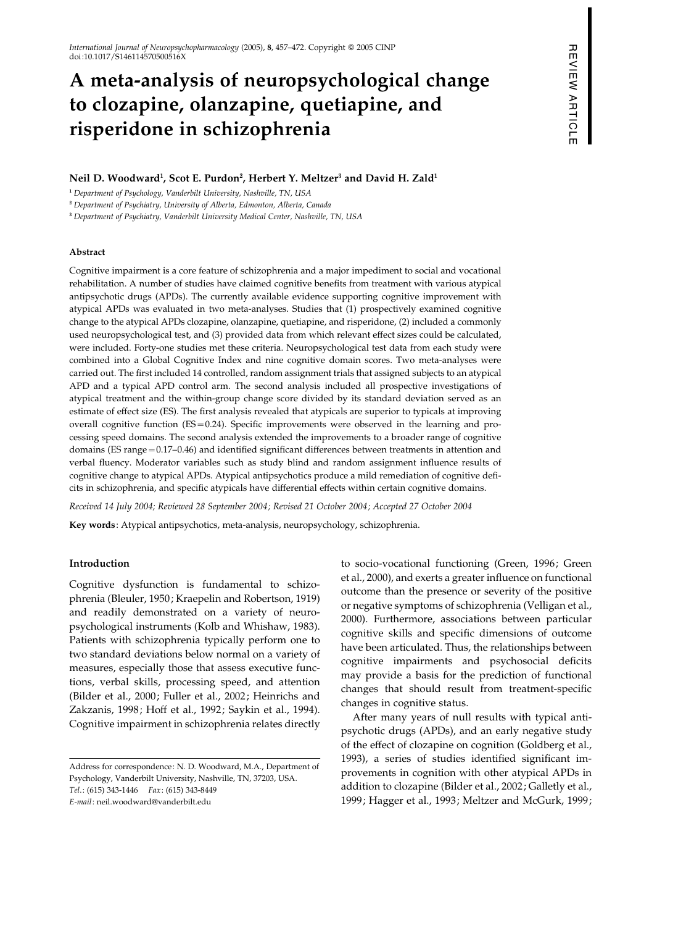# A meta-analysis of neuropsychological change to clozapine, olanzapine, quetiapine, and risperidone in schizophrenia

# Neil D. Woodward<sup>1</sup>, Scot E. Purdon<sup>2</sup>, Herbert Y. Meltzer<sup>3</sup> and David H. Zald<sup>1</sup>

<sup>1</sup> Department of Psychology, Vanderbilt University, Nashville, TN, USA

<sup>2</sup> Department of Psychiatry, University of Alberta, Edmonton, Alberta, Canada

<sup>3</sup> Department of Psychiatry, Vanderbilt University Medical Center, Nashville, TN, USA

#### Abstract

Cognitive impairment is a core feature of schizophrenia and a major impediment to social and vocational rehabilitation. A number of studies have claimed cognitive benefits from treatment with various atypical antipsychotic drugs (APDs). The currently available evidence supporting cognitive improvement with atypical APDs was evaluated in two meta-analyses. Studies that (1) prospectively examined cognitive change to the atypical APDs clozapine, olanzapine, quetiapine, and risperidone, (2) included a commonly used neuropsychological test, and (3) provided data from which relevant effect sizes could be calculated, were included. Forty-one studies met these criteria. Neuropsychological test data from each study were combined into a Global Cognitive Index and nine cognitive domain scores. Two meta-analyses were carried out. The first included 14 controlled, random assignment trials that assigned subjects to an atypical APD and a typical APD control arm. The second analysis included all prospective investigations of atypical treatment and the within-group change score divided by its standard deviation served as an estimate of effect size (ES). The first analysis revealed that atypicals are superior to typicals at improving overall cognitive function (ES=0.24). Specific improvements were observed in the learning and processing speed domains. The second analysis extended the improvements to a broader range of cognitive domains (ES range=0.17–0.46) and identified significant differences between treatments in attention and verbal fluency. Moderator variables such as study blind and random assignment influence results of cognitive change to atypical APDs. Atypical antipsychotics produce a mild remediation of cognitive deficits in schizophrenia, and specific atypicals have differential effects within certain cognitive domains.

Received 14 July 2004; Reviewed 28 September 2004; Revised 21 October 2004; Accepted 27 October 2004 Key words: Atypical antipsychotics, meta-analysis, neuropsychology, schizophrenia.

#### Introduction

Cognitive dysfunction is fundamental to schizophrenia (Bleuler, 1950; Kraepelin and Robertson, 1919) and readily demonstrated on a variety of neuropsychological instruments (Kolb and Whishaw, 1983). Patients with schizophrenia typically perform one to two standard deviations below normal on a variety of measures, especially those that assess executive functions, verbal skills, processing speed, and attention (Bilder et al., 2000; Fuller et al., 2002; Heinrichs and Zakzanis, 1998; Hoff et al., 1992; Saykin et al., 1994). Cognitive impairment in schizophrenia relates directly

Address for correspondence: N. D. Woodward, M.A., Department of Psychology, Vanderbilt University, Nashville, TN, 37203, USA. Tel.: (615) 343-1446 Fax: (615) 343-8449 E-mail: neil.woodward@vanderbilt.edu

to socio-vocational functioning (Green, 1996; Green et al., 2000), and exerts a greater influence on functional outcome than the presence or severity of the positive or negative symptoms of schizophrenia (Velligan et al., 2000). Furthermore, associations between particular cognitive skills and specific dimensions of outcome have been articulated. Thus, the relationships between cognitive impairments and psychosocial deficits may provide a basis for the prediction of functional changes that should result from treatment-specific changes in cognitive status.

After many years of null results with typical antipsychotic drugs (APDs), and an early negative study of the effect of clozapine on cognition (Goldberg et al., 1993), a series of studies identified significant improvements in cognition with other atypical APDs in addition to clozapine (Bilder et al., 2002; Galletly et al., 1999; Hagger et al., 1993; Meltzer and McGurk, 1999;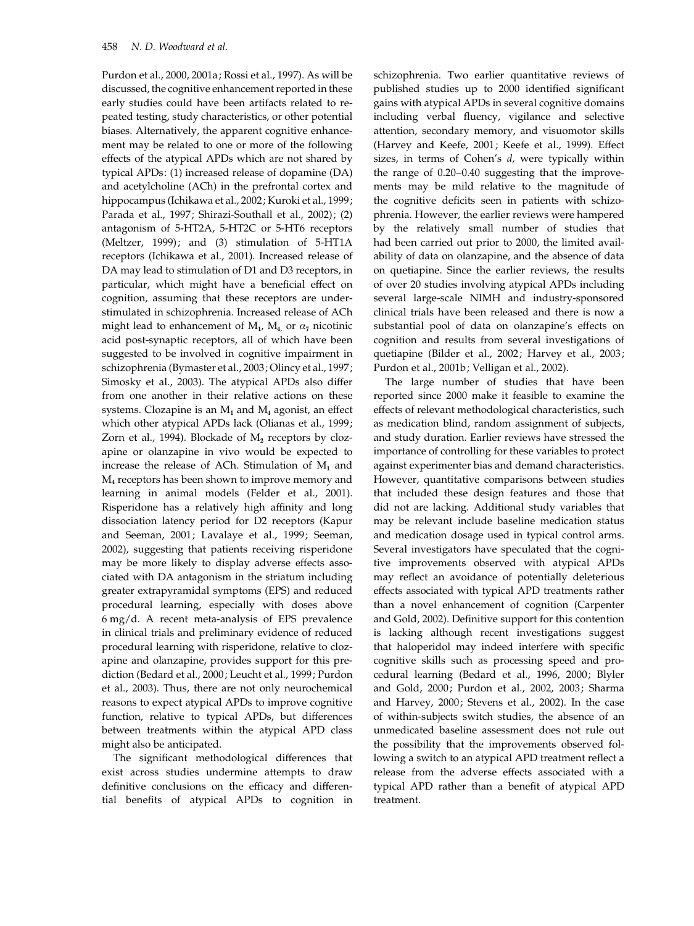Purdon et al., 2000, 2001a; Rossi et al., 1997). As will be discussed, the cognitive enhancement reported in these early studies could have been artifacts related to repeated testing, study characteristics, or other potential biases. Alternatively, the apparent cognitive enhancement may be related to one or more of the following effects of the atypical APDs which are not shared by typical APDs: (1) increased release of dopamine (DA) and acetylcholine (ACh) in the prefrontal cortex and hippocampus (Ichikawa et al., 2002; Kuroki et al., 1999; Parada et al., 1997; Shirazi-Southall et al., 2002); (2) antagonism of 5-HT2A, 5-HT2C or 5-HT6 receptors (Meltzer, 1999); and (3) stimulation of 5-HT1A receptors (Ichikawa et al., 2001). Increased release of DA may lead to stimulation of D1 and D3 receptors, in particular, which might have a beneficial effect on cognition, assuming that these receptors are understimulated in schizophrenia. Increased release of ACh might lead to enhancement of  $M_1$ ,  $M_4$  or  $a_7$  nicotinic acid post-synaptic receptors, all of which have been suggested to be involved in cognitive impairment in schizophrenia (Bymaster et al., 2003; Olincy et al., 1997; Simosky et al., 2003). The atypical APDs also differ from one another in their relative actions on these systems. Clozapine is an  $M_1$  and  $M_4$  agonist, an effect which other atypical APDs lack (Olianas et al., 1999; Zorn et al., 1994). Blockade of  $M_2$  receptors by clozapine or olanzapine in vivo would be expected to increase the release of ACh. Stimulation of  $M_1$  and M<sup>4</sup> receptors has been shown to improve memory and learning in animal models (Felder et al., 2001). Risperidone has a relatively high affinity and long dissociation latency period for D2 receptors (Kapur and Seeman, 2001; Lavalaye et al., 1999; Seeman, 2002), suggesting that patients receiving risperidone may be more likely to display adverse effects associated with DA antagonism in the striatum including greater extrapyramidal symptoms (EPS) and reduced procedural learning, especially with doses above 6 mg/d. A recent meta-analysis of EPS prevalence in clinical trials and preliminary evidence of reduced procedural learning with risperidone, relative to clozapine and olanzapine, provides support for this prediction (Bedard et al., 2000; Leucht et al., 1999; Purdon et al., 2003). Thus, there are not only neurochemical reasons to expect atypical APDs to improve cognitive function, relative to typical APDs, but differences between treatments within the atypical APD class might also be anticipated.

The significant methodological differences that exist across studies undermine attempts to draw definitive conclusions on the efficacy and differential benefits of atypical APDs to cognition in

schizophrenia. Two earlier quantitative reviews of published studies up to 2000 identified significant gains with atypical APDs in several cognitive domains including verbal fluency, vigilance and selective attention, secondary memory, and visuomotor skills (Harvey and Keefe, 2001; Keefe et al., 1999). Effect sizes, in terms of Cohen's d, were typically within the range of 0.20–0.40 suggesting that the improvements may be mild relative to the magnitude of the cognitive deficits seen in patients with schizophrenia. However, the earlier reviews were hampered by the relatively small number of studies that had been carried out prior to 2000, the limited availability of data on olanzapine, and the absence of data on quetiapine. Since the earlier reviews, the results of over 20 studies involving atypical APDs including several large-scale NIMH and industry-sponsored clinical trials have been released and there is now a substantial pool of data on olanzapine's effects on cognition and results from several investigations of quetiapine (Bilder et al., 2002; Harvey et al., 2003; Purdon et al., 2001b; Velligan et al., 2002).

The large number of studies that have been reported since 2000 make it feasible to examine the effects of relevant methodological characteristics, such as medication blind, random assignment of subjects, and study duration. Earlier reviews have stressed the importance of controlling for these variables to protect against experimenter bias and demand characteristics. However, quantitative comparisons between studies that included these design features and those that did not are lacking. Additional study variables that may be relevant include baseline medication status and medication dosage used in typical control arms. Several investigators have speculated that the cognitive improvements observed with atypical APDs may reflect an avoidance of potentially deleterious effects associated with typical APD treatments rather than a novel enhancement of cognition (Carpenter and Gold, 2002). Definitive support for this contention is lacking although recent investigations suggest that haloperidol may indeed interfere with specific cognitive skills such as processing speed and procedural learning (Bedard et al., 1996, 2000; Blyler and Gold, 2000; Purdon et al., 2002, 2003; Sharma and Harvey, 2000; Stevens et al., 2002). In the case of within-subjects switch studies, the absence of an unmedicated baseline assessment does not rule out the possibility that the improvements observed following a switch to an atypical APD treatment reflect a release from the adverse effects associated with a typical APD rather than a benefit of atypical APD treatment.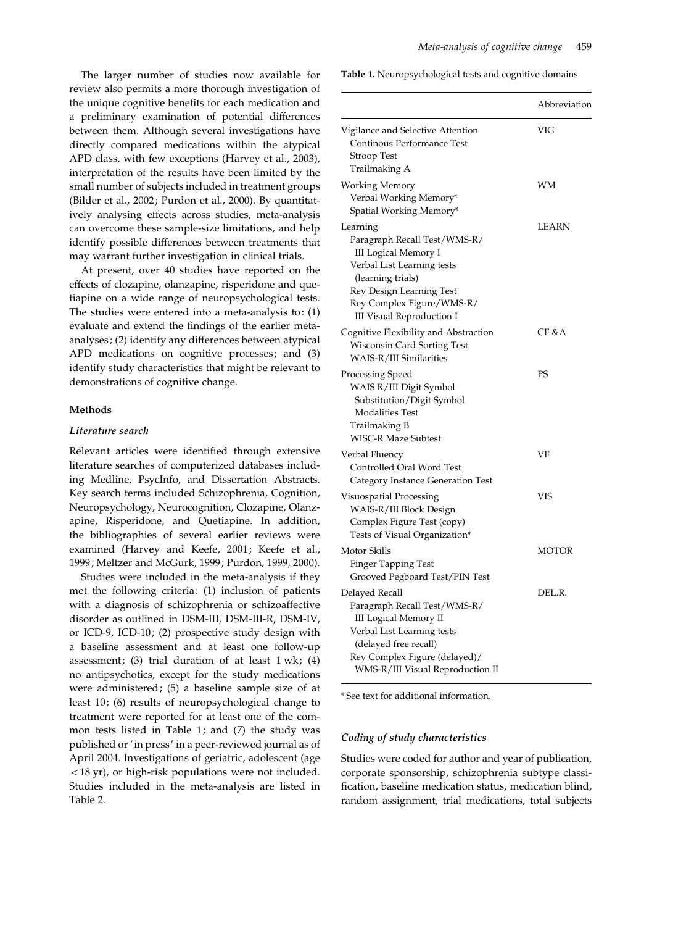The larger number of studies now available for review also permits a more thorough investigation of the unique cognitive benefits for each medication and a preliminary examination of potential differences between them. Although several investigations have directly compared medications within the atypical APD class, with few exceptions (Harvey et al., 2003), interpretation of the results have been limited by the small number of subjects included in treatment groups (Bilder et al., 2002; Purdon et al., 2000). By quantitatively analysing effects across studies, meta-analysis can overcome these sample-size limitations, and help identify possible differences between treatments that may warrant further investigation in clinical trials.

At present, over 40 studies have reported on the effects of clozapine, olanzapine, risperidone and quetiapine on a wide range of neuropsychological tests. The studies were entered into a meta-analysis to: (1) evaluate and extend the findings of the earlier metaanalyses; (2) identify any differences between atypical APD medications on cognitive processes; and (3) identify study characteristics that might be relevant to demonstrations of cognitive change.

### Methods

#### Literature search

Relevant articles were identified through extensive literature searches of computerized databases including Medline, PsycInfo, and Dissertation Abstracts. Key search terms included Schizophrenia, Cognition, Neuropsychology, Neurocognition, Clozapine, Olanzapine, Risperidone, and Quetiapine. In addition, the bibliographies of several earlier reviews were examined (Harvey and Keefe, 2001; Keefe et al., 1999; Meltzer and McGurk, 1999; Purdon, 1999, 2000).

Studies were included in the meta-analysis if they met the following criteria: (1) inclusion of patients with a diagnosis of schizophrenia or schizoaffective disorder as outlined in DSM-III, DSM-III-R, DSM-IV, or ICD-9, ICD-10; (2) prospective study design with a baseline assessment and at least one follow-up assessment; (3) trial duration of at least 1 wk; (4) no antipsychotics, except for the study medications were administered; (5) a baseline sample size of at least 10; (6) results of neuropsychological change to treatment were reported for at least one of the common tests listed in Table 1; and (7) the study was published or 'in press' in a peer-reviewed journal as of April 2004. Investigations of geriatric, adolescent (age <18 yr), or high-risk populations were not included. Studies included in the meta-analysis are listed in Table 2.

Table 1. Neuropsychological tests and cognitive domains

|                                                                                                                                                                                                           | Abbreviation |
|-----------------------------------------------------------------------------------------------------------------------------------------------------------------------------------------------------------|--------------|
| Vigilance and Selective Attention<br>Continous Performance Test<br>Stroop Test<br>Trailmaking A                                                                                                           | VIG          |
| Working Memory<br>Verbal Working Memory*<br>Spatial Working Memory*                                                                                                                                       | WM           |
| Learning<br>Paragraph Recall Test/WMS-R/<br>III Logical Memory I<br>Verbal List Learning tests<br>(learning trials)<br>Rey Design Learning Test<br>Rey Complex Figure/WMS-R/<br>III Visual Reproduction I | LEARN        |
| Cognitive Flexibility and Abstraction<br>Wisconsin Card Sorting Test<br>WAIS-R/III Similarities                                                                                                           | CF & A       |
| Processing Speed<br>WAIS R/III Digit Symbol<br>Substitution/Digit Symbol<br><b>Modalities Test</b><br>Trailmaking B<br><b>WISC-R Maze Subtest</b>                                                         | PS           |
| Verbal Fluency<br>Controlled Oral Word Test<br>Category Instance Generation Test                                                                                                                          | VF           |
| Visuospatial Processing<br>WAIS-R/III Block Design<br>Complex Figure Test (copy)<br>Tests of Visual Organization*                                                                                         | VIS          |
| Motor Skills<br><b>Finger Tapping Test</b><br>Grooved Pegboard Test/PIN Test                                                                                                                              | MOTOR        |
| Delayed Recall<br>Paragraph Recall Test/WMS-R/<br>III Logical Memory II<br>Verbal List Learning tests<br>(delayed free recall)<br>Rey Complex Figure (delayed)/<br>WMS-R/III Visual Reproduction II       | DEL.R.       |

\* See text for additional information.

#### Coding of study characteristics

Studies were coded for author and year of publication, corporate sponsorship, schizophrenia subtype classification, baseline medication status, medication blind, random assignment, trial medications, total subjects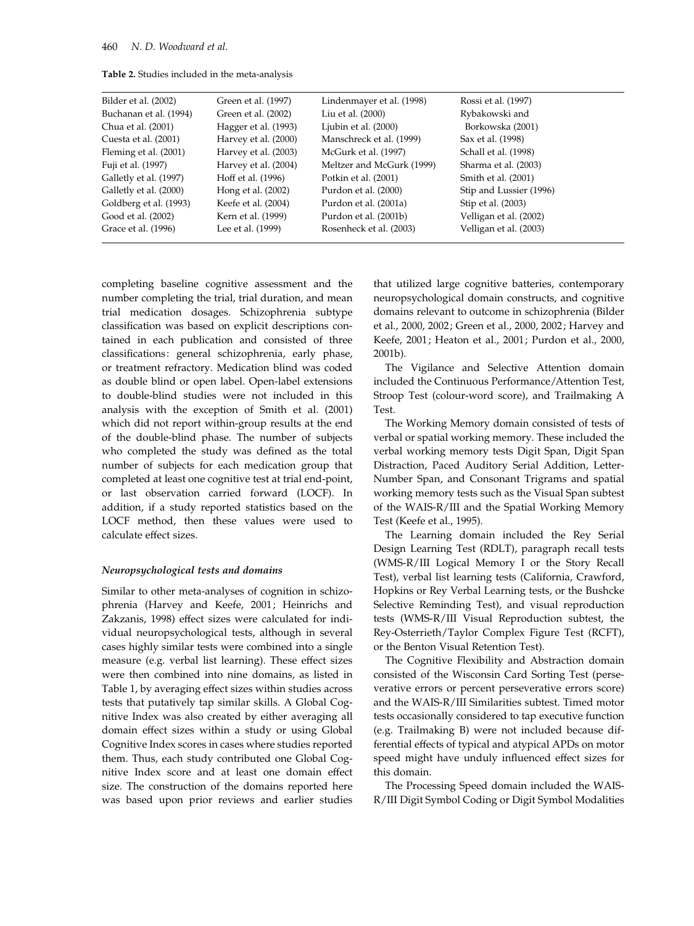| Bilder et al. (2002)   | Green et al. (1997)  | Lindenmayer et al. (1998) | Rossi et al. (1997)     |  |
|------------------------|----------------------|---------------------------|-------------------------|--|
| Buchanan et al. (1994) | Green et al. (2002)  | Liu et al. (2000)         | Rybakowski and          |  |
| Chua et al. (2001)     | Hagger et al. (1993) | Ljubin et al. (2000)      | Borkowska (2001)        |  |
| Cuesta et al. (2001)   | Harvey et al. (2000) | Manschreck et al. (1999)  | Sax et al. (1998)       |  |
| Fleming et al. (2001)  | Harvey et al. (2003) | McGurk et al. (1997)      | Schall et al. (1998)    |  |
| Fuji et al. (1997)     | Harvey et al. (2004) | Meltzer and McGurk (1999) | Sharma et al. (2003)    |  |
| Galletly et al. (1997) | Hoff et al. (1996)   | Potkin et al. (2001)      | Smith et al. (2001)     |  |
| Galletly et al. (2000) | Hong et al. (2002)   | Purdon et al. (2000)      | Stip and Lussier (1996) |  |
| Goldberg et al. (1993) | Keefe et al. (2004)  | Purdon et al. (2001a)     | Stip et al. (2003)      |  |
| Good et al. (2002)     | Kern et al. (1999)   | Purdon et al. (2001b)     | Velligan et al. (2002)  |  |
| Grace et al. (1996)    | Lee et al. (1999)    | Rosenheck et al. (2003)   | Velligan et al. (2003)  |  |
|                        |                      |                           |                         |  |

Table 2. Studies included in the meta-analysis

completing baseline cognitive assessment and the number completing the trial, trial duration, and mean trial medication dosages. Schizophrenia subtype classification was based on explicit descriptions contained in each publication and consisted of three classifications: general schizophrenia, early phase, or treatment refractory. Medication blind was coded as double blind or open label. Open-label extensions to double-blind studies were not included in this analysis with the exception of Smith et al. (2001) which did not report within-group results at the end of the double-blind phase. The number of subjects who completed the study was defined as the total number of subjects for each medication group that completed at least one cognitive test at trial end-point, or last observation carried forward (LOCF). In addition, if a study reported statistics based on the LOCF method, then these values were used to calculate effect sizes.

# Neuropsychological tests and domains

Similar to other meta-analyses of cognition in schizophrenia (Harvey and Keefe, 2001; Heinrichs and Zakzanis, 1998) effect sizes were calculated for individual neuropsychological tests, although in several cases highly similar tests were combined into a single measure (e.g. verbal list learning). These effect sizes were then combined into nine domains, as listed in Table 1, by averaging effect sizes within studies across tests that putatively tap similar skills. A Global Cognitive Index was also created by either averaging all domain effect sizes within a study or using Global Cognitive Index scores in cases where studies reported them. Thus, each study contributed one Global Cognitive Index score and at least one domain effect size. The construction of the domains reported here was based upon prior reviews and earlier studies that utilized large cognitive batteries, contemporary neuropsychological domain constructs, and cognitive domains relevant to outcome in schizophrenia (Bilder et al., 2000, 2002; Green et al., 2000, 2002; Harvey and Keefe, 2001; Heaton et al., 2001; Purdon et al., 2000, 2001b).

The Vigilance and Selective Attention domain included the Continuous Performance/Attention Test, Stroop Test (colour-word score), and Trailmaking A Test.

The Working Memory domain consisted of tests of verbal or spatial working memory. These included the verbal working memory tests Digit Span, Digit Span Distraction, Paced Auditory Serial Addition, Letter-Number Span, and Consonant Trigrams and spatial working memory tests such as the Visual Span subtest of the WAIS-R/III and the Spatial Working Memory Test (Keefe et al., 1995).

The Learning domain included the Rey Serial Design Learning Test (RDLT), paragraph recall tests (WMS-R/III Logical Memory I or the Story Recall Test), verbal list learning tests (California, Crawford, Hopkins or Rey Verbal Learning tests, or the Bushcke Selective Reminding Test), and visual reproduction tests (WMS-R/III Visual Reproduction subtest, the Rey-Osterrieth/Taylor Complex Figure Test (RCFT), or the Benton Visual Retention Test).

The Cognitive Flexibility and Abstraction domain consisted of the Wisconsin Card Sorting Test (perseverative errors or percent perseverative errors score) and the WAIS-R/III Similarities subtest. Timed motor tests occasionally considered to tap executive function (e.g. Trailmaking B) were not included because differential effects of typical and atypical APDs on motor speed might have unduly influenced effect sizes for this domain.

The Processing Speed domain included the WAIS-R/III Digit Symbol Coding or Digit Symbol Modalities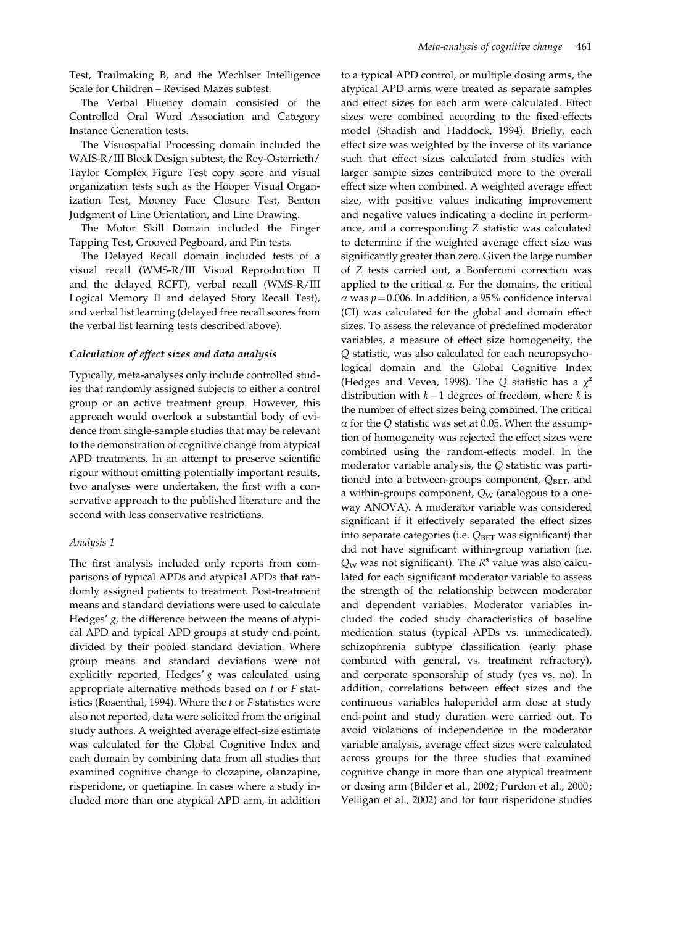The Verbal Fluency domain consisted of the Controlled Oral Word Association and Category Instance Generation tests.

The Visuospatial Processing domain included the WAIS-R/III Block Design subtest, the Rey-Osterrieth/ Taylor Complex Figure Test copy score and visual organization tests such as the Hooper Visual Organization Test, Mooney Face Closure Test, Benton Judgment of Line Orientation, and Line Drawing.

The Motor Skill Domain included the Finger Tapping Test, Grooved Pegboard, and Pin tests.

The Delayed Recall domain included tests of a visual recall (WMS-R/III Visual Reproduction II and the delayed RCFT), verbal recall (WMS-R/III Logical Memory II and delayed Story Recall Test), and verbal list learning (delayed free recall scores from the verbal list learning tests described above).

## Calculation of effect sizes and data analysis

Typically, meta-analyses only include controlled studies that randomly assigned subjects to either a control group or an active treatment group. However, this approach would overlook a substantial body of evidence from single-sample studies that may be relevant to the demonstration of cognitive change from atypical APD treatments. In an attempt to preserve scientific rigour without omitting potentially important results, two analyses were undertaken, the first with a conservative approach to the published literature and the second with less conservative restrictions.

#### Analysis 1

The first analysis included only reports from comparisons of typical APDs and atypical APDs that randomly assigned patients to treatment. Post-treatment means and standard deviations were used to calculate Hedges'  $g$ , the difference between the means of atypical APD and typical APD groups at study end-point, divided by their pooled standard deviation. Where group means and standard deviations were not explicitly reported, Hedges'  $g$  was calculated using appropriate alternative methods based on  $t$  or  $F$  statistics (Rosenthal, 1994). Where the  $t$  or  $F$  statistics were also not reported, data were solicited from the original study authors. A weighted average effect-size estimate was calculated for the Global Cognitive Index and each domain by combining data from all studies that examined cognitive change to clozapine, olanzapine, risperidone, or quetiapine. In cases where a study included more than one atypical APD arm, in addition

to a typical APD control, or multiple dosing arms, the atypical APD arms were treated as separate samples and effect sizes for each arm were calculated. Effect sizes were combined according to the fixed-effects model (Shadish and Haddock, 1994). Briefly, each effect size was weighted by the inverse of its variance such that effect sizes calculated from studies with larger sample sizes contributed more to the overall effect size when combined. A weighted average effect size, with positive values indicating improvement and negative values indicating a decline in performance, and a corresponding Z statistic was calculated to determine if the weighted average effect size was significantly greater than zero. Given the large number of Z tests carried out, a Bonferroni correction was applied to the critical  $\alpha$ . For the domains, the critical  $\alpha$  was  $p = 0.006$ . In addition, a 95% confidence interval (CI) was calculated for the global and domain effect sizes. To assess the relevance of predefined moderator variables, a measure of effect size homogeneity, the Q statistic, was also calculated for each neuropsychological domain and the Global Cognitive Index (Hedges and Vevea, 1998). The Q statistic has a  $\chi^2$ distribution with  $k-1$  degrees of freedom, where k is the number of effect sizes being combined. The critical  $\alpha$  for the Q statistic was set at 0.05. When the assumption of homogeneity was rejected the effect sizes were combined using the random-effects model. In the moderator variable analysis, the Q statistic was partitioned into a between-groups component,  $Q_{\text{BET}}$ , and a within-groups component,  $Q_W$  (analogous to a oneway ANOVA). A moderator variable was considered significant if it effectively separated the effect sizes into separate categories (i.e.  $Q_{\text{BET}}$  was significant) that did not have significant within-group variation (i.e.  $Q_W$  was not significant). The  $R^2$  value was also calculated for each significant moderator variable to assess the strength of the relationship between moderator and dependent variables. Moderator variables included the coded study characteristics of baseline medication status (typical APDs vs. unmedicated), schizophrenia subtype classification (early phase combined with general, vs. treatment refractory), and corporate sponsorship of study (yes vs. no). In addition, correlations between effect sizes and the continuous variables haloperidol arm dose at study end-point and study duration were carried out. To avoid violations of independence in the moderator variable analysis, average effect sizes were calculated across groups for the three studies that examined cognitive change in more than one atypical treatment or dosing arm (Bilder et al., 2002; Purdon et al., 2000; Velligan et al., 2002) and for four risperidone studies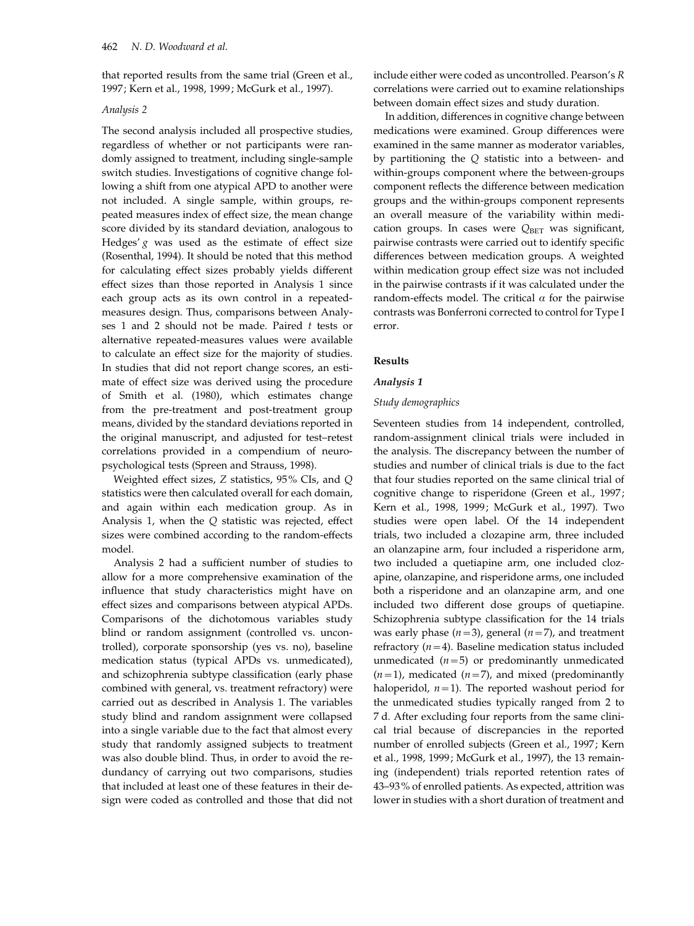that reported results from the same trial (Green et al., 1997; Kern et al., 1998, 1999; McGurk et al., 1997).

# Analysis 2

The second analysis included all prospective studies, regardless of whether or not participants were randomly assigned to treatment, including single-sample switch studies. Investigations of cognitive change following a shift from one atypical APD to another were not included. A single sample, within groups, repeated measures index of effect size, the mean change score divided by its standard deviation, analogous to Hedges'  $g$  was used as the estimate of effect size (Rosenthal, 1994). It should be noted that this method for calculating effect sizes probably yields different effect sizes than those reported in Analysis 1 since each group acts as its own control in a repeatedmeasures design. Thus, comparisons between Analyses 1 and 2 should not be made. Paired t tests or alternative repeated-measures values were available to calculate an effect size for the majority of studies. In studies that did not report change scores, an estimate of effect size was derived using the procedure of Smith et al. (1980), which estimates change from the pre-treatment and post-treatment group means, divided by the standard deviations reported in the original manuscript, and adjusted for test–retest correlations provided in a compendium of neuropsychological tests (Spreen and Strauss, 1998).

Weighted effect sizes, Z statistics, 95% CIs, and Q statistics were then calculated overall for each domain, and again within each medication group. As in Analysis 1, when the Q statistic was rejected, effect sizes were combined according to the random-effects model.

Analysis 2 had a sufficient number of studies to allow for a more comprehensive examination of the influence that study characteristics might have on effect sizes and comparisons between atypical APDs. Comparisons of the dichotomous variables study blind or random assignment (controlled vs. uncontrolled), corporate sponsorship (yes vs. no), baseline medication status (typical APDs vs. unmedicated), and schizophrenia subtype classification (early phase combined with general, vs. treatment refractory) were carried out as described in Analysis 1. The variables study blind and random assignment were collapsed into a single variable due to the fact that almost every study that randomly assigned subjects to treatment was also double blind. Thus, in order to avoid the redundancy of carrying out two comparisons, studies that included at least one of these features in their design were coded as controlled and those that did not include either were coded as uncontrolled. Pearson's R correlations were carried out to examine relationships between domain effect sizes and study duration.

In addition, differences in cognitive change between medications were examined. Group differences were examined in the same manner as moderator variables, by partitioning the Q statistic into a between- and within-groups component where the between-groups component reflects the difference between medication groups and the within-groups component represents an overall measure of the variability within medication groups. In cases were  $Q_{\text{BET}}$  was significant, pairwise contrasts were carried out to identify specific differences between medication groups. A weighted within medication group effect size was not included in the pairwise contrasts if it was calculated under the random-effects model. The critical  $\alpha$  for the pairwise contrasts was Bonferroni corrected to control for Type I error.

# Results

# Analysis 1

# Study demographics

Seventeen studies from 14 independent, controlled, random-assignment clinical trials were included in the analysis. The discrepancy between the number of studies and number of clinical trials is due to the fact that four studies reported on the same clinical trial of cognitive change to risperidone (Green et al., 1997; Kern et al., 1998, 1999; McGurk et al., 1997). Two studies were open label. Of the 14 independent trials, two included a clozapine arm, three included an olanzapine arm, four included a risperidone arm, two included a quetiapine arm, one included clozapine, olanzapine, and risperidone arms, one included both a risperidone and an olanzapine arm, and one included two different dose groups of quetiapine. Schizophrenia subtype classification for the 14 trials was early phase  $(n=3)$ , general  $(n=7)$ , and treatment refractory  $(n=4)$ . Baseline medication status included unmedicated  $(n=5)$  or predominantly unmedicated  $(n=1)$ , medicated  $(n=7)$ , and mixed (predominantly haloperidol,  $n=1$ ). The reported washout period for the unmedicated studies typically ranged from 2 to 7 d. After excluding four reports from the same clinical trial because of discrepancies in the reported number of enrolled subjects (Green et al., 1997; Kern et al., 1998, 1999; McGurk et al., 1997), the 13 remaining (independent) trials reported retention rates of 43–93% of enrolled patients. As expected, attrition was lower in studies with a short duration of treatment and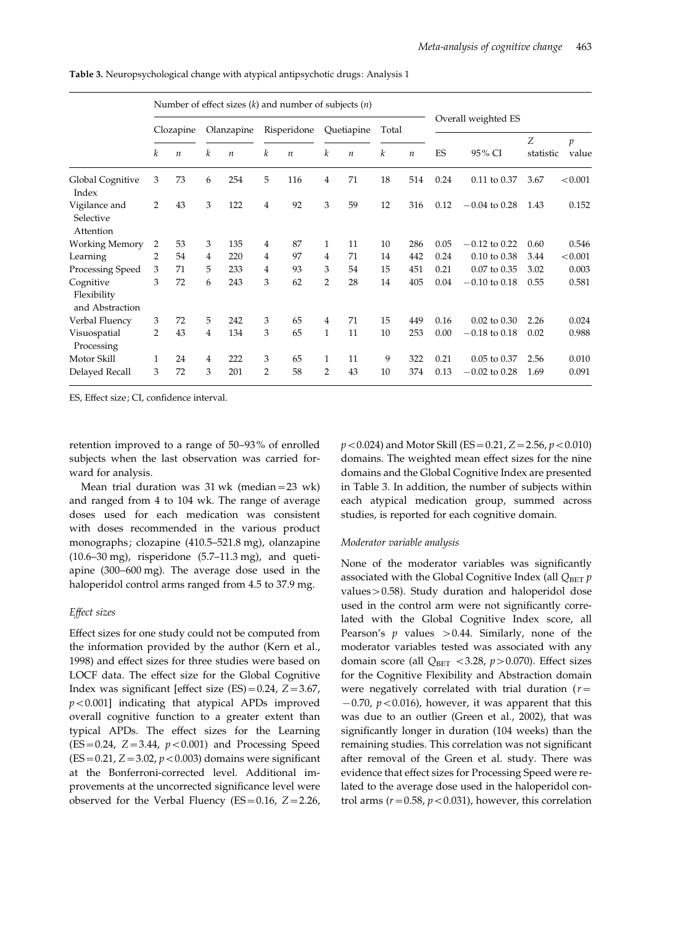|                                             |                |                  |                |                  |                | Number of effect sizes $(k)$ and number of subjects $(n)$ |                |                  |       |                  |      |                     |                |                         |
|---------------------------------------------|----------------|------------------|----------------|------------------|----------------|-----------------------------------------------------------|----------------|------------------|-------|------------------|------|---------------------|----------------|-------------------------|
|                                             |                | Clozapine        |                | Olanzapine       |                | Risperidone                                               |                | Quetiapine       | Total |                  |      | Overall weighted ES |                |                         |
|                                             | k              | $\boldsymbol{n}$ | k              | $\boldsymbol{n}$ | k              | $\boldsymbol{n}$                                          | k              | $\boldsymbol{n}$ | k     | $\boldsymbol{n}$ | ES   | 95% CI              | Ζ<br>statistic | $\mathfrak{p}$<br>value |
|                                             |                |                  |                |                  |                |                                                           |                |                  |       |                  |      |                     |                |                         |
| Global Cognitive<br>Index                   | 3              | 73               | 6              | 254              | 5              | 116                                                       | 4              | 71               | 18    | 514              | 0.24 | 0.11 to 0.37        | 3.67           | < 0.001                 |
| Vigilance and<br>Selective<br>Attention     | $\overline{2}$ | 43               | 3              | 122              | $\overline{4}$ | 92                                                        | 3              | 59               | 12    | 316              | 0.12 | $-0.04$ to 0.28     | 1.43           | 0.152                   |
| <b>Working Memory</b>                       | 2              | 53               | 3              | 135              | 4              | 87                                                        | $\mathbf{1}$   | 11               | 10    | 286              | 0.05 | $-0.12$ to 0.22     | 0.60           | 0.546                   |
| Learning                                    | 2              | 54               | 4              | 220              | 4              | 97                                                        | 4              | 71               | 14    | 442              | 0.24 | 0.10 to 0.38        | 3.44           | < 0.001                 |
| Processing Speed                            | 3              | 71               | 5              | 233              | 4              | 93                                                        | 3              | 54               | 15    | 451              | 0.21 | 0.07 to 0.35        | 3.02           | 0.003                   |
| Cognitive<br>Flexibility<br>and Abstraction | 3              | 72               | 6              | 243              | 3              | 62                                                        | $\overline{2}$ | 28               | 14    | 405              | 0.04 | $-0.10$ to 0.18     | 0.55           | 0.581                   |
| Verbal Fluency                              | 3              | 72               | 5              | 242              | 3              | 65                                                        | 4              | 71               | 15    | 449              | 0.16 | $0.02$ to $0.30$    | 2.26           | 0.024                   |
| Visuospatial<br>Processing                  | 2              | 43               | 4              | 134              | 3              | 65                                                        | $\mathbf{1}$   | 11               | 10    | 253              | 0.00 | $-0.18$ to 0.18     | 0.02           | 0.988                   |
| Motor Skill                                 | 1              | 24               | $\overline{4}$ | 222              | 3              | 65                                                        | $\mathbf{1}$   | 11               | 9     | 322              | 0.21 | 0.05 to 0.37        | 2.56           | 0.010                   |
| Delayed Recall                              | 3              | 72               | 3              | 201              | $\overline{2}$ | 58                                                        | 2              | 43               | 10    | 374              | 0.13 | $-0.02$ to 0.28     | 1.69           | 0.091                   |

Table 3. Neuropsychological change with atypical antipsychotic drugs: Analysis 1

ES, Effect size; CI, confidence interval.

retention improved to a range of 50–93% of enrolled subjects when the last observation was carried forward for analysis.

Mean trial duration was 31 wk (median=23 wk) and ranged from 4 to 104 wk. The range of average doses used for each medication was consistent with doses recommended in the various product monographs; clozapine (410.5–521.8 mg), olanzapine (10.6–30 mg), risperidone (5.7–11.3 mg), and quetiapine (300–600 mg). The average dose used in the haloperidol control arms ranged from 4.5 to 37.9 mg.

# Effect sizes

Effect sizes for one study could not be computed from the information provided by the author (Kern et al., 1998) and effect sizes for three studies were based on LOCF data. The effect size for the Global Cognitive Index was significant [effect size  $(ES) = 0.24$ ,  $Z = 3.67$ ,  $p < 0.001$ ] indicating that atypical APDs improved overall cognitive function to a greater extent than typical APDs. The effect sizes for the Learning  $(ES=0.24, Z=3.44, p<0.001)$  and Processing Speed  $(ES=0.21, Z=3.02, p<0.003)$  domains were significant at the Bonferroni-corrected level. Additional improvements at the uncorrected significance level were observed for the Verbal Fluency (ES=0.16,  $Z=2.26$ ,  $p < 0.024$ ) and Motor Skill (ES = 0.21, Z = 2.56,  $p < 0.010$ ) domains. The weighted mean effect sizes for the nine domains and the Global Cognitive Index are presented in Table 3. In addition, the number of subjects within each atypical medication group, summed across studies, is reported for each cognitive domain.

#### Moderator variable analysis

None of the moderator variables was significantly associated with the Global Cognitive Index (all  $Q_{BET}$  p values>0.58). Study duration and haloperidol dose used in the control arm were not significantly correlated with the Global Cognitive Index score, all Pearson's  $p$  values > 0.44. Similarly, none of the moderator variables tested was associated with any domain score (all  $Q_{\text{BET}}$  <3.28,  $p$  > 0.070). Effect sizes for the Cognitive Flexibility and Abstraction domain were negatively correlated with trial duration ( $r=$  $-0.70$ ,  $p < 0.016$ ), however, it was apparent that this was due to an outlier (Green et al., 2002), that was significantly longer in duration (104 weeks) than the remaining studies. This correlation was not significant after removal of the Green et al. study. There was evidence that effect sizes for Processing Speed were related to the average dose used in the haloperidol control arms ( $r=0.58$ ,  $p<0.031$ ), however, this correlation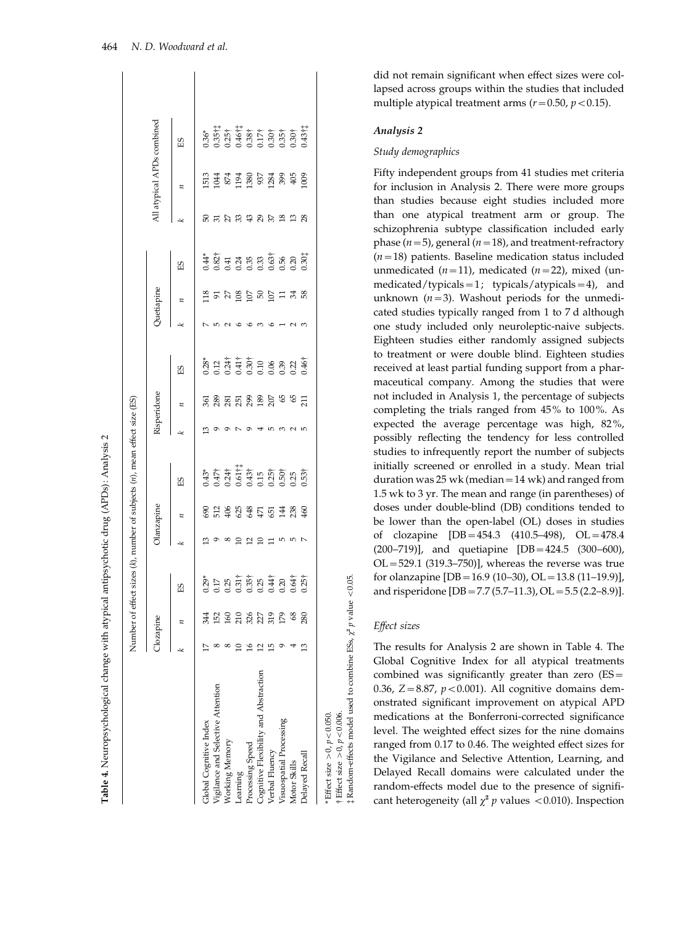|                                       |           |            |                |            | Number of effect sizes (k), number of subjects (n), mean effect size (ES)                                             |                          |                                                                                           |                                                                                                                                                                                                                                                                                                                                                                                                                              |                                                                                                                                                                                                                                  |         |                                                             |                                                                                                                                                                                                                                                                                                                                                                                                           |  |
|---------------------------------------|-----------|------------|----------------|------------|-----------------------------------------------------------------------------------------------------------------------|--------------------------|-------------------------------------------------------------------------------------------|------------------------------------------------------------------------------------------------------------------------------------------------------------------------------------------------------------------------------------------------------------------------------------------------------------------------------------------------------------------------------------------------------------------------------|----------------------------------------------------------------------------------------------------------------------------------------------------------------------------------------------------------------------------------|---------|-------------------------------------------------------------|-----------------------------------------------------------------------------------------------------------------------------------------------------------------------------------------------------------------------------------------------------------------------------------------------------------------------------------------------------------------------------------------------------------|--|
|                                       | Clozapine |            |                | Olanzapine |                                                                                                                       | Risperidone              |                                                                                           | Quetiapine                                                                                                                                                                                                                                                                                                                                                                                                                   |                                                                                                                                                                                                                                  |         | All atypical APDs combined                                  |                                                                                                                                                                                                                                                                                                                                                                                                           |  |
|                                       |           | БS         |                | z          | ЕS                                                                                                                    | z                        | ES                                                                                        | n                                                                                                                                                                                                                                                                                                                                                                                                                            | 53                                                                                                                                                                                                                               |         | z                                                           | ES                                                                                                                                                                                                                                                                                                                                                                                                        |  |
| Global Cognitive Index                |           | $0.29^*$   |                | 690        |                                                                                                                       | 361                      |                                                                                           | $\frac{8}{2}$                                                                                                                                                                                                                                                                                                                                                                                                                | $0.44*$                                                                                                                                                                                                                          | 50      |                                                             |                                                                                                                                                                                                                                                                                                                                                                                                           |  |
| Vigilance and Selective Attention     |           | 0.17       |                | 512        | $\begin{array}{l} 1.43^* \\ 1.47^+ \\ 0.24^+ \\ 0.61^+ \\ 0.63^+ \\ 0.95^+ \\ 0.55^+ \\ 0.53^+ \\ 0.53^+ \end{array}$ | 289                      | $0.28$<br>$0.24$<br>$0.34$<br>$0.36$<br>$0.36$<br>$0.36$<br>$0.46$<br>$0.46$ <sup>†</sup> | 91                                                                                                                                                                                                                                                                                                                                                                                                                           |                                                                                                                                                                                                                                  |         | n 3 3 3 3 3 3 4 5<br>1 3 5 5 6 7 8 9 9 9<br>1 3 6 7 8 9 9 9 | $0.36$ $\stackrel{+}{\phantom{}_{\phantom{1}3}3}$ $\stackrel{+}{\phantom{}_{\phantom{1}3}3}$ $\stackrel{+}{\phantom{}_{\phantom{1}3}3}$ $\stackrel{+}{\phantom{}_{\phantom{1}3}3}$ $\stackrel{+}{\phantom{}_{\phantom{1}3}3}$ $\stackrel{+}{\phantom{}_{\phantom{1}3}3}$ $\stackrel{+}{\phantom{}_{\phantom{1}3}3}$ $\stackrel{+}{\phantom{}_{\phantom{1}3}3}$ $\stackrel{+}{\phantom{}_{\phantom{1}3}3}$ |  |
| Working Memory                        |           |            |                |            |                                                                                                                       |                          |                                                                                           |                                                                                                                                                                                                                                                                                                                                                                                                                              |                                                                                                                                                                                                                                  | 27      |                                                             |                                                                                                                                                                                                                                                                                                                                                                                                           |  |
| Learning                              |           | 8558848858 |                | \$8835573  |                                                                                                                       | ន្ត  ន្ត  ន្ត  ន្ត  ទ  ទ |                                                                                           | $\begin{array}{ccccccccc}\n\text{N} & \text{S} & \text{S} & \text{S} & \text{S} & \text{S} & \text{S} & \text{S} & \text{S} & \text{S} & \text{S} & \text{S} & \text{S} & \text{S} & \text{S} & \text{S} & \text{S} & \text{S} & \text{S} & \text{S} & \text{S} & \text{S} & \text{S} & \text{S} & \text{S} & \text{S} & \text{S} & \text{S} & \text{S} & \text{S} & \text{S} & \text{S} & \text{S} & \text{S} & \text{S} &$ | $\frac{27}{30}$<br>$\frac{11}{30}$<br>$\frac{11}{30}$<br>$\frac{11}{30}$<br>$\frac{11}{30}$<br>$\frac{11}{30}$<br>$\frac{11}{30}$<br>$\frac{11}{30}$<br>$\frac{11}{30}$<br>$\frac{11}{30}$<br>$\frac{11}{30}$<br>$\frac{11}{30}$ | 33      |                                                             |                                                                                                                                                                                                                                                                                                                                                                                                           |  |
| Processing Speed                      | 326       |            | $\overline{a}$ |            |                                                                                                                       |                          |                                                                                           |                                                                                                                                                                                                                                                                                                                                                                                                                              |                                                                                                                                                                                                                                  | \$      |                                                             |                                                                                                                                                                                                                                                                                                                                                                                                           |  |
| Cognitive Flexibility and Abstraction | 227       |            |                |            |                                                                                                                       |                          |                                                                                           |                                                                                                                                                                                                                                                                                                                                                                                                                              |                                                                                                                                                                                                                                  | $^{29}$ |                                                             |                                                                                                                                                                                                                                                                                                                                                                                                           |  |
| Verbal Fluency                        | 319       |            |                |            |                                                                                                                       |                          |                                                                                           |                                                                                                                                                                                                                                                                                                                                                                                                                              |                                                                                                                                                                                                                                  | 57      |                                                             |                                                                                                                                                                                                                                                                                                                                                                                                           |  |
| Visuospatial Processing               | 179       |            |                |            |                                                                                                                       |                          |                                                                                           |                                                                                                                                                                                                                                                                                                                                                                                                                              |                                                                                                                                                                                                                                  | 28 m    |                                                             |                                                                                                                                                                                                                                                                                                                                                                                                           |  |
| Motor Skills                          |           |            |                |            |                                                                                                                       |                          |                                                                                           | నే దొ                                                                                                                                                                                                                                                                                                                                                                                                                        |                                                                                                                                                                                                                                  |         |                                                             |                                                                                                                                                                                                                                                                                                                                                                                                           |  |
| Delayed Recall                        | 280       |            | Ŋ              | 60         |                                                                                                                       | $\overline{21}$          |                                                                                           |                                                                                                                                                                                                                                                                                                                                                                                                                              |                                                                                                                                                                                                                                  | 28      |                                                             |                                                                                                                                                                                                                                                                                                                                                                                                           |  |
| * Effect size $>0$ , $p < 0.050$ .    |           |            |                |            |                                                                                                                       |                          |                                                                                           |                                                                                                                                                                                                                                                                                                                                                                                                                              |                                                                                                                                                                                                                                  |         |                                                             |                                                                                                                                                                                                                                                                                                                                                                                                           |  |

able 4. Neuropsychological change with atypical antipsychotic drug (APDs): Analysis 2 Neuropsychological change with atypical antipsychotic drug (APDs): Analysis 2

 $\dagger$  Effect size  $> 0$ ,  $p < 0.006$ .  $\ddagger$  Random-effects model used to combine ESs,  $\chi^2$  p value <0.05.

\* Effect size  $>0$ ,  $p < 0.050$ .

#\$

did not remain significant when effect sizes were collapsed across groups within the studies that included multiple atypical treatment arms ( $r = 0.50$ ,  $p < 0.15$ ).

# Analysis 2

## Study demographics

Fifty independent groups from 41 studies met criteria for inclusion in Analysis 2. There were more groups than studies because eight studies included more than one atypical treatment arm or group. The schizophrenia subtype classification included early phase ( $n=5$ ), general ( $n=18$ ), and treatment-refractory  $(n=18)$  patients. Baseline medication status included unmedicated  $(n=11)$ , medicated  $(n=22)$ , mixed (unmedicated/typicals=1; typicals/atypicals=4), and unknown  $(n=3)$ . Washout periods for the unmedicated studies typically ranged from 1 to 7 d although one study included only neuroleptic-naive subjects. Eighteen studies either randomly assigned subjects to treatment or were double blind. Eighteen studies received at least partial funding support from a pharmaceutical company. Among the studies that were not included in Analysis 1, the percentage of subjects completing the trials ranged from 45% to 100%. As expected the average percentage was high, 82%, possibly reflecting the tendency for less controlled studies to infrequently report the number of subjects initially screened or enrolled in a study. Mean trial duration was 25 wk (median=14 wk) and ranged from 1.5 wk to 3 yr. The mean and range (in parentheses) of doses under double-blind (DB) conditions tended to be lower than the open-label (OL) doses in studies of clozapine  $[DB = 454.3 \quad (410.5-498)$ ,  $OL = 478.4$ (200–719)], and quetiapine [DB=424.5 (300–600),  $OL = 529.1$  (319.3–750)], whereas the reverse was true for olanzapine  $[DB=16.9 (10-30), OL=13.8 (11-19.9)],$ and risperidone [DB=7.7 (5.7–11.3), OL=5.5 (2.2–8.9)].

# Effect sizes

The results for Analysis 2 are shown in Table 4. The Global Cognitive Index for all atypical treatments combined was significantly greater than zero  $(ES=$ 0.36,  $Z = 8.87$ ,  $p < 0.001$ ). All cognitive domains demonstrated significant improvement on atypical APD medications at the Bonferroni-corrected significance level. The weighted effect sizes for the nine domains ranged from 0.17 to 0.46. The weighted effect sizes for the Vigilance and Selective Attention, Learning, and Delayed Recall domains were calculated under the random-effects model due to the presence of significant heterogeneity (all  $\chi^2$  p values <0.010). Inspection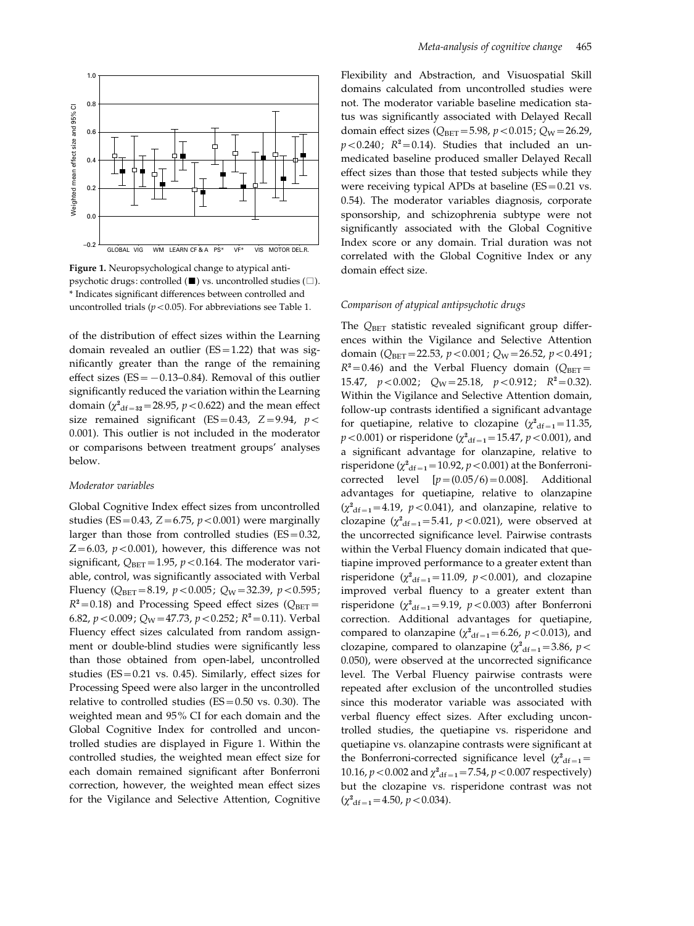

Figure 1. Neuropsychological change to atypical antipsychotic drugs: controlled ( $\blacksquare$ ) vs. uncontrolled studies ( $\Box$ ). \* Indicates significant differences between controlled and uncontrolled trials ( $p < 0.05$ ). For abbreviations see Table 1.

of the distribution of effect sizes within the Learning domain revealed an outlier  $(ES=1.22)$  that was significantly greater than the range of the remaining effect sizes ( $ES = -0.13-0.84$ ). Removal of this outlier significantly reduced the variation within the Learning domain ( $\chi^2$ <sub>df=32</sub>=28.95,  $p$  < 0.622) and the mean effect size remained significant (ES=0.43, Z=9.94,  $p$  < 0.001). This outlier is not included in the moderator or comparisons between treatment groups' analyses below.

# Moderator variables

Global Cognitive Index effect sizes from uncontrolled studies (ES=0.43, Z=6.75,  $p < 0.001$ ) were marginally larger than those from controlled studies  $(ES=0.32,$  $Z=6.03$ ,  $p<0.001$ ), however, this difference was not significant,  $Q_{\text{BET}}=1.95$ ,  $p < 0.164$ . The moderator variable, control, was significantly associated with Verbal Fluency ( $Q_{\text{BET}}=8.19$ ,  $p < 0.005$ ;  $Q_{\text{W}}=32.39$ ,  $p < 0.595$ ;  $R^2$  = 0.18) and Processing Speed effect sizes ( $Q_{\text{BET}}$  = 6.82,  $p < 0.009$ ; Q<sub>W</sub> = 47.73,  $p < 0.252$ ;  $R^2 = 0.11$ ). Verbal Fluency effect sizes calculated from random assignment or double-blind studies were significantly less than those obtained from open-label, uncontrolled studies ( $ES = 0.21$  vs. 0.45). Similarly, effect sizes for Processing Speed were also larger in the uncontrolled relative to controlled studies ( $ES=0.50$  vs. 0.30). The weighted mean and 95% CI for each domain and the Global Cognitive Index for controlled and uncontrolled studies are displayed in Figure 1. Within the controlled studies, the weighted mean effect size for each domain remained significant after Bonferroni correction, however, the weighted mean effect sizes for the Vigilance and Selective Attention, Cognitive Flexibility and Abstraction, and Visuospatial Skill domains calculated from uncontrolled studies were not. The moderator variable baseline medication status was significantly associated with Delayed Recall domain effect sizes ( $Q_{\text{BET}}$ =5.98,  $p$  < 0.015;  $Q_{\text{W}}$  = 26.29,  $p < 0.240$ ;  $R^2 = 0.14$ ). Studies that included an unmedicated baseline produced smaller Delayed Recall effect sizes than those that tested subjects while they were receiving typical APDs at baseline  $(ES=0.21 \text{ vs.})$ 0.54). The moderator variables diagnosis, corporate sponsorship, and schizophrenia subtype were not significantly associated with the Global Cognitive Index score or any domain. Trial duration was not correlated with the Global Cognitive Index or any domain effect size.

#### Comparison of atypical antipsychotic drugs

The  $Q_{\text{BET}}$  statistic revealed significant group differences within the Vigilance and Selective Attention domain ( $Q_{BET}=22.53$ ,  $p < 0.001$ ;  $Q_W = 26.52$ ,  $p < 0.491$ ;  $R^2$  = 0.46) and the Verbal Fluency domain ( $Q_{\text{BET}}$  = 15.47,  $p < 0.002$ ;  $Q_W = 25.18$ ,  $p < 0.912$ ;  $R^2 = 0.32$ ). Within the Vigilance and Selective Attention domain, follow-up contrasts identified a significant advantage for quetiapine, relative to clozapine  $(\chi^2_{df=1} = 11.35,$  $p < 0.001$ ) or risperidone ( $\chi^2_{\text{df}=1}$ =15.47,  $p < 0.001$ ), and a significant advantage for olanzapine, relative to risperidone ( $\chi^2_{\rm df=1}$  = 10.92,  $p$  < 0.001) at the Bonferronicorrected level  $[p=(0.05/6)=0.008]$ . Additional advantages for quetiapine, relative to olanzapine  $(\chi^2_{\text{df}=1}$ =4.19,  $p$  < 0.041), and olanzapine, relative to clozapine ( $\chi^2_{\text{df}=1}$ =5.41,  $p$  < 0.021), were observed at the uncorrected significance level. Pairwise contrasts within the Verbal Fluency domain indicated that quetiapine improved performance to a greater extent than risperidone ( $\chi^2_{df=1}$ =11.09,  $p$  < 0.001), and clozapine improved verbal fluency to a greater extent than risperidone ( $\chi^2_{\text{df}=1}$ =9.19,  $p$ <0.003) after Bonferroni correction. Additional advantages for quetiapine, compared to olanzapine ( $\chi^2_{df=1}$ =6.26,  $p$  < 0.013), and clozapine, compared to olanzapine ( $\chi^2_{\text{df}=1}$ =3.86, p< 0.050), were observed at the uncorrected significance level. The Verbal Fluency pairwise contrasts were repeated after exclusion of the uncontrolled studies since this moderator variable was associated with verbal fluency effect sizes. After excluding uncontrolled studies, the quetiapine vs. risperidone and quetiapine vs. olanzapine contrasts were significant at the Bonferroni-corrected significance level  $(\chi^2_{df=1}$ = 10.16,  $p < 0.002$  and  $\chi^2_{\text{df}=1} = 7.54$ ,  $p < 0.007$  respectively) but the clozapine vs. risperidone contrast was not  $(\chi^2_{\text{df}=1}$ =4.50,  $p$  < 0.034).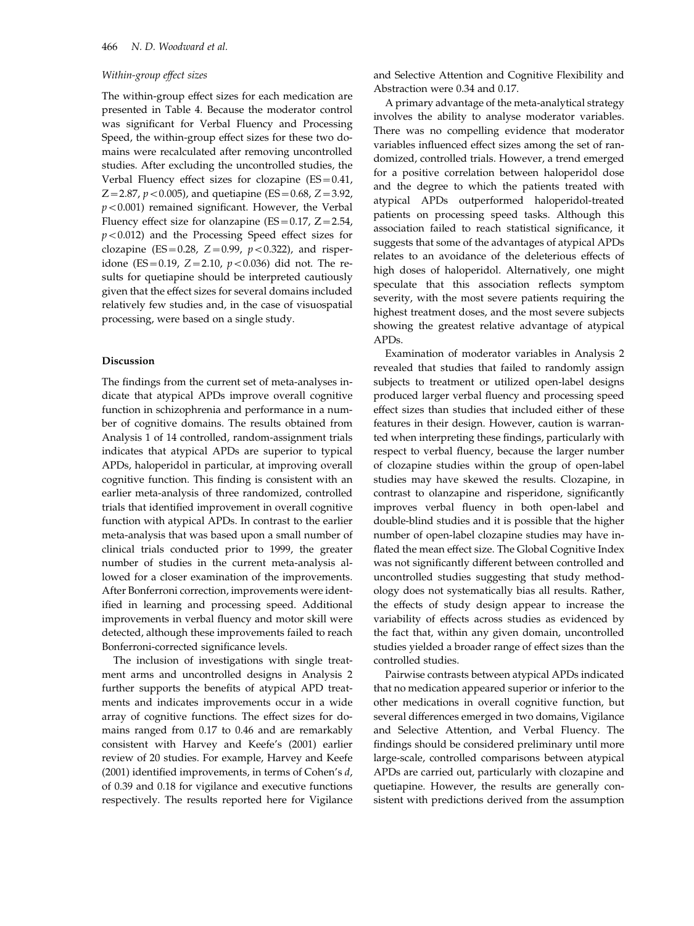# Within-group effect sizes

The within-group effect sizes for each medication are presented in Table 4. Because the moderator control was significant for Verbal Fluency and Processing Speed, the within-group effect sizes for these two domains were recalculated after removing uncontrolled studies. After excluding the uncontrolled studies, the Verbal Fluency effect sizes for clozapine  $(ES=0.41,$  $Z=2.87$ ,  $p < 0.005$ ), and quetiapine (ES=0.68, Z=3.92,  $p < 0.001$ ) remained significant. However, the Verbal Fluency effect size for olanzapine ( $ES=0.17$ ,  $Z=2.54$ ,  $p$ <0.012) and the Processing Speed effect sizes for clozapine (ES=0.28, Z=0.99,  $p < 0.322$ ), and risperidone (ES=0.19, Z=2.10,  $p < 0.036$ ) did not. The results for quetiapine should be interpreted cautiously given that the effect sizes for several domains included relatively few studies and, in the case of visuospatial processing, were based on a single study.

# Discussion

The findings from the current set of meta-analyses indicate that atypical APDs improve overall cognitive function in schizophrenia and performance in a number of cognitive domains. The results obtained from Analysis 1 of 14 controlled, random-assignment trials indicates that atypical APDs are superior to typical APDs, haloperidol in particular, at improving overall cognitive function. This finding is consistent with an earlier meta-analysis of three randomized, controlled trials that identified improvement in overall cognitive function with atypical APDs. In contrast to the earlier meta-analysis that was based upon a small number of clinical trials conducted prior to 1999, the greater number of studies in the current meta-analysis allowed for a closer examination of the improvements. After Bonferroni correction, improvements were identified in learning and processing speed. Additional improvements in verbal fluency and motor skill were detected, although these improvements failed to reach Bonferroni-corrected significance levels.

The inclusion of investigations with single treatment arms and uncontrolled designs in Analysis 2 further supports the benefits of atypical APD treatments and indicates improvements occur in a wide array of cognitive functions. The effect sizes for domains ranged from 0.17 to 0.46 and are remarkably consistent with Harvey and Keefe's (2001) earlier review of 20 studies. For example, Harvey and Keefe (2001) identified improvements, in terms of Cohen's d, of 0.39 and 0.18 for vigilance and executive functions respectively. The results reported here for Vigilance and Selective Attention and Cognitive Flexibility and Abstraction were 0.34 and 0.17.

A primary advantage of the meta-analytical strategy involves the ability to analyse moderator variables. There was no compelling evidence that moderator variables influenced effect sizes among the set of randomized, controlled trials. However, a trend emerged for a positive correlation between haloperidol dose and the degree to which the patients treated with atypical APDs outperformed haloperidol-treated patients on processing speed tasks. Although this association failed to reach statistical significance, it suggests that some of the advantages of atypical APDs relates to an avoidance of the deleterious effects of high doses of haloperidol. Alternatively, one might speculate that this association reflects symptom severity, with the most severe patients requiring the highest treatment doses, and the most severe subjects showing the greatest relative advantage of atypical APDs.

Examination of moderator variables in Analysis 2 revealed that studies that failed to randomly assign subjects to treatment or utilized open-label designs produced larger verbal fluency and processing speed effect sizes than studies that included either of these features in their design. However, caution is warranted when interpreting these findings, particularly with respect to verbal fluency, because the larger number of clozapine studies within the group of open-label studies may have skewed the results. Clozapine, in contrast to olanzapine and risperidone, significantly improves verbal fluency in both open-label and double-blind studies and it is possible that the higher number of open-label clozapine studies may have inflated the mean effect size. The Global Cognitive Index was not significantly different between controlled and uncontrolled studies suggesting that study methodology does not systematically bias all results. Rather, the effects of study design appear to increase the variability of effects across studies as evidenced by the fact that, within any given domain, uncontrolled studies yielded a broader range of effect sizes than the controlled studies.

Pairwise contrasts between atypical APDs indicated that no medication appeared superior or inferior to the other medications in overall cognitive function, but several differences emerged in two domains, Vigilance and Selective Attention, and Verbal Fluency. The findings should be considered preliminary until more large-scale, controlled comparisons between atypical APDs are carried out, particularly with clozapine and quetiapine. However, the results are generally consistent with predictions derived from the assumption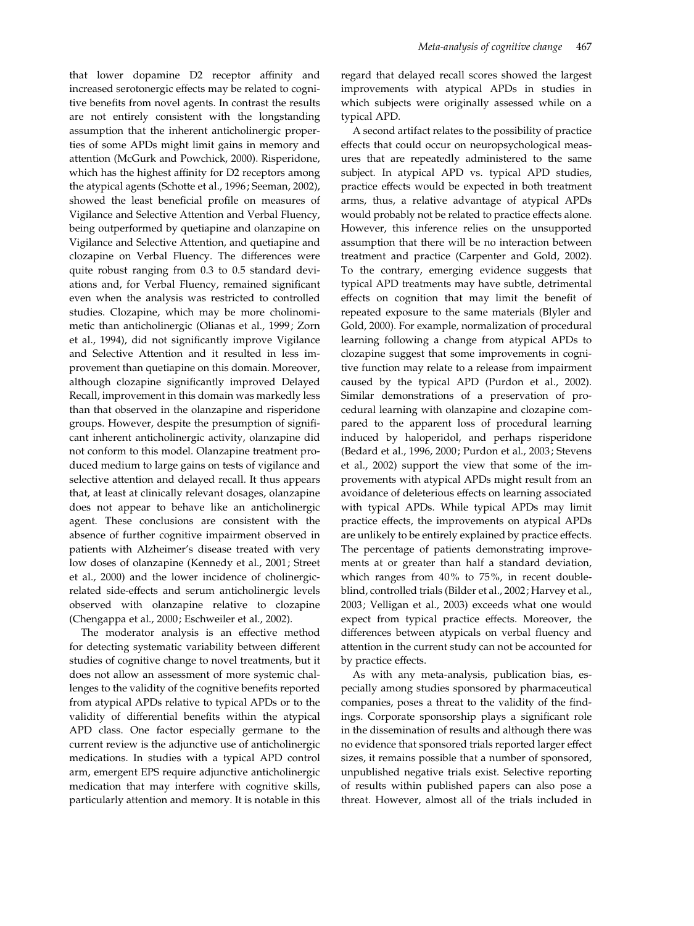that lower dopamine D2 receptor affinity and increased serotonergic effects may be related to cognitive benefits from novel agents. In contrast the results are not entirely consistent with the longstanding assumption that the inherent anticholinergic properties of some APDs might limit gains in memory and attention (McGurk and Powchick, 2000). Risperidone, which has the highest affinity for D2 receptors among the atypical agents (Schotte et al., 1996; Seeman, 2002), showed the least beneficial profile on measures of Vigilance and Selective Attention and Verbal Fluency, being outperformed by quetiapine and olanzapine on Vigilance and Selective Attention, and quetiapine and clozapine on Verbal Fluency. The differences were quite robust ranging from 0.3 to 0.5 standard deviations and, for Verbal Fluency, remained significant even when the analysis was restricted to controlled studies. Clozapine, which may be more cholinomimetic than anticholinergic (Olianas et al., 1999; Zorn et al., 1994), did not significantly improve Vigilance and Selective Attention and it resulted in less improvement than quetiapine on this domain. Moreover, although clozapine significantly improved Delayed Recall, improvement in this domain was markedly less than that observed in the olanzapine and risperidone groups. However, despite the presumption of significant inherent anticholinergic activity, olanzapine did not conform to this model. Olanzapine treatment produced medium to large gains on tests of vigilance and selective attention and delayed recall. It thus appears that, at least at clinically relevant dosages, olanzapine does not appear to behave like an anticholinergic agent. These conclusions are consistent with the absence of further cognitive impairment observed in

patients with Alzheimer's disease treated with very low doses of olanzapine (Kennedy et al., 2001; Street et al., 2000) and the lower incidence of cholinergicrelated side-effects and serum anticholinergic levels observed with olanzapine relative to clozapine (Chengappa et al., 2000; Eschweiler et al., 2002). The moderator analysis is an effective method

for detecting systematic variability between different studies of cognitive change to novel treatments, but it does not allow an assessment of more systemic challenges to the validity of the cognitive benefits reported from atypical APDs relative to typical APDs or to the validity of differential benefits within the atypical APD class. One factor especially germane to the current review is the adjunctive use of anticholinergic medications. In studies with a typical APD control arm, emergent EPS require adjunctive anticholinergic medication that may interfere with cognitive skills, particularly attention and memory. It is notable in this

regard that delayed recall scores showed the largest improvements with atypical APDs in studies in which subjects were originally assessed while on a typical APD.

A second artifact relates to the possibility of practice effects that could occur on neuropsychological measures that are repeatedly administered to the same subject. In atypical APD vs. typical APD studies, practice effects would be expected in both treatment arms, thus, a relative advantage of atypical APDs would probably not be related to practice effects alone. However, this inference relies on the unsupported assumption that there will be no interaction between treatment and practice (Carpenter and Gold, 2002). To the contrary, emerging evidence suggests that typical APD treatments may have subtle, detrimental effects on cognition that may limit the benefit of repeated exposure to the same materials (Blyler and Gold, 2000). For example, normalization of procedural learning following a change from atypical APDs to clozapine suggest that some improvements in cognitive function may relate to a release from impairment caused by the typical APD (Purdon et al., 2002). Similar demonstrations of a preservation of procedural learning with olanzapine and clozapine compared to the apparent loss of procedural learning induced by haloperidol, and perhaps risperidone (Bedard et al., 1996, 2000; Purdon et al., 2003; Stevens et al., 2002) support the view that some of the improvements with atypical APDs might result from an avoidance of deleterious effects on learning associated with typical APDs. While typical APDs may limit practice effects, the improvements on atypical APDs are unlikely to be entirely explained by practice effects. The percentage of patients demonstrating improvements at or greater than half a standard deviation, which ranges from 40% to 75%, in recent doubleblind, controlled trials (Bilder et al., 2002; Harvey et al., 2003; Velligan et al., 2003) exceeds what one would expect from typical practice effects. Moreover, the differences between atypicals on verbal fluency and attention in the current study can not be accounted for by practice effects.

As with any meta-analysis, publication bias, especially among studies sponsored by pharmaceutical companies, poses a threat to the validity of the findings. Corporate sponsorship plays a significant role in the dissemination of results and although there was no evidence that sponsored trials reported larger effect sizes, it remains possible that a number of sponsored, unpublished negative trials exist. Selective reporting of results within published papers can also pose a threat. However, almost all of the trials included in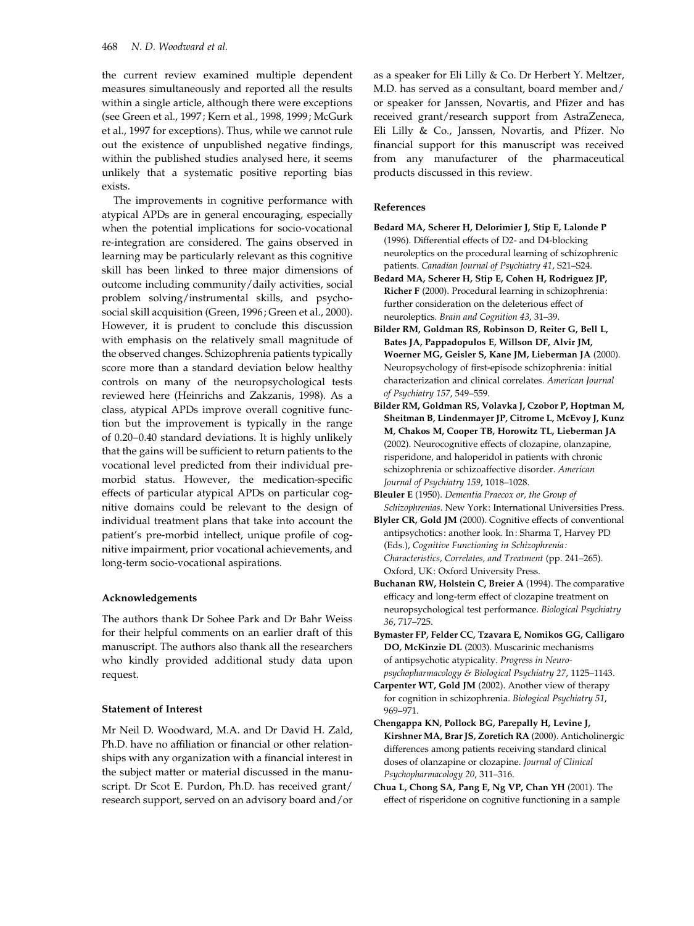the current review examined multiple dependent measures simultaneously and reported all the results within a single article, although there were exceptions (see Green et al., 1997; Kern et al., 1998, 1999; McGurk et al., 1997 for exceptions). Thus, while we cannot rule out the existence of unpublished negative findings, within the published studies analysed here, it seems unlikely that a systematic positive reporting bias exists.

The improvements in cognitive performance with atypical APDs are in general encouraging, especially when the potential implications for socio-vocational re-integration are considered. The gains observed in learning may be particularly relevant as this cognitive skill has been linked to three major dimensions of outcome including community/daily activities, social problem solving/instrumental skills, and psychosocial skill acquisition (Green, 1996; Green et al., 2000). However, it is prudent to conclude this discussion with emphasis on the relatively small magnitude of the observed changes. Schizophrenia patients typically score more than a standard deviation below healthy controls on many of the neuropsychological tests reviewed here (Heinrichs and Zakzanis, 1998). As a class, atypical APDs improve overall cognitive function but the improvement is typically in the range of 0.20–0.40 standard deviations. It is highly unlikely that the gains will be sufficient to return patients to the vocational level predicted from their individual premorbid status. However, the medication-specific effects of particular atypical APDs on particular cognitive domains could be relevant to the design of individual treatment plans that take into account the patient's pre-morbid intellect, unique profile of cognitive impairment, prior vocational achievements, and long-term socio-vocational aspirations.

# Acknowledgements

The authors thank Dr Sohee Park and Dr Bahr Weiss for their helpful comments on an earlier draft of this manuscript. The authors also thank all the researchers who kindly provided additional study data upon request.

# Statement of Interest

Mr Neil D. Woodward, M.A. and Dr David H. Zald, Ph.D. have no affiliation or financial or other relationships with any organization with a financial interest in the subject matter or material discussed in the manuscript. Dr Scot E. Purdon, Ph.D. has received grant/ research support, served on an advisory board and/or as a speaker for Eli Lilly & Co. Dr Herbert Y. Meltzer, M.D. has served as a consultant, board member and/ or speaker for Janssen, Novartis, and Pfizer and has received grant/research support from AstraZeneca, Eli Lilly & Co., Janssen, Novartis, and Pfizer. No financial support for this manuscript was received from any manufacturer of the pharmaceutical products discussed in this review.

# References

- Bedard MA, Scherer H, Delorimier J, Stip E, Lalonde P (1996). Differential effects of D2- and D4-blocking neuroleptics on the procedural learning of schizophrenic patients. Canadian Journal of Psychiatry 41, S21–S24.
- Bedard MA, Scherer H, Stip E, Cohen H, Rodriguez JP, Richer F (2000). Procedural learning in schizophrenia: further consideration on the deleterious effect of neuroleptics. Brain and Cognition 43, 31–39.
- Bilder RM, Goldman RS, Robinson D, Reiter G, Bell L, Bates JA, Pappadopulos E, Willson DF, Alvir JM, Woerner MG, Geisler S, Kane JM, Lieberman JA (2000). Neuropsychology of first-episode schizophrenia: initial characterization and clinical correlates. American Journal of Psychiatry 157, 549–559.
- Bilder RM, Goldman RS, Volavka J, Czobor P, Hoptman M, Sheitman B, Lindenmayer JP, Citrome L, McEvoy J, Kunz M, Chakos M, Cooper TB, Horowitz TL, Lieberman JA (2002). Neurocognitive effects of clozapine, olanzapine, risperidone, and haloperidol in patients with chronic schizophrenia or schizoaffective disorder. American Journal of Psychiatry 159, 1018–1028.
- Bleuler E (1950). Dementia Praecox or, the Group of Schizophrenias. New York: International Universities Press.
- Blyler CR, Gold JM (2000). Cognitive effects of conventional antipsychotics: another look. In: Sharma T, Harvey PD (Eds.), Cognitive Functioning in Schizophrenia: Characteristics, Correlates, and Treatment (pp. 241–265). Oxford, UK: Oxford University Press.
- Buchanan RW, Holstein C, Breier A (1994). The comparative efficacy and long-term effect of clozapine treatment on neuropsychological test performance. Biological Psychiatry 36, 717–725.
- Bymaster FP, Felder CC, Tzavara E, Nomikos GG, Calligaro DO, McKinzie DL (2003). Muscarinic mechanisms of antipsychotic atypicality. Progress in Neuropsychopharmacology & Biological Psychiatry 27, 1125–1143.
- Carpenter WT, Gold JM (2002). Another view of therapy for cognition in schizophrenia. Biological Psychiatry 51, 969–971.
- Chengappa KN, Pollock BG, Parepally H, Levine J, Kirshner MA, Brar JS, Zoretich RA (2000). Anticholinergic differences among patients receiving standard clinical doses of olanzapine or clozapine. Journal of Clinical Psychopharmacology 20, 311–316.
- Chua L, Chong SA, Pang E, Ng VP, Chan YH (2001). The effect of risperidone on cognitive functioning in a sample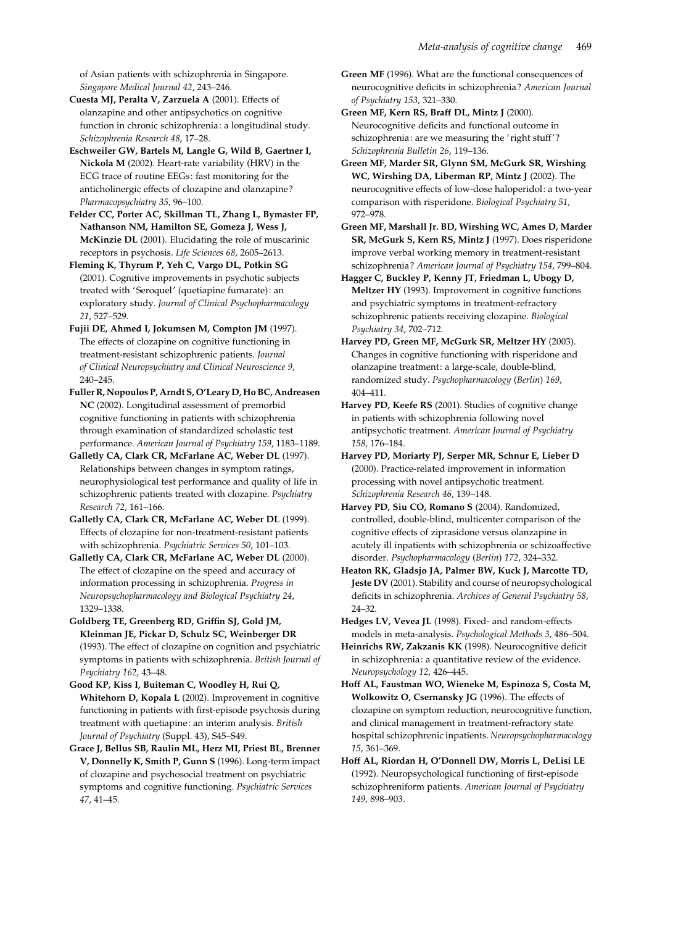of Asian patients with schizophrenia in Singapore. Singapore Medical Journal 42, 243–246.

Cuesta MJ, Peralta V, Zarzuela A (2001). Effects of olanzapine and other antipsychotics on cognitive function in chronic schizophrenia: a longitudinal study. Schizophrenia Research 48, 17–28.

Eschweiler GW, Bartels M, Langle G, Wild B, Gaertner I, Nickola M (2002). Heart-rate variability (HRV) in the ECG trace of routine EEGs: fast monitoring for the anticholinergic effects of clozapine and olanzapine? Pharmacopsychiatry 35, 96–100.

Felder CC, Porter AC, Skillman TL, Zhang L, Bymaster FP, Nathanson NM, Hamilton SE, Gomeza J, Wess J, McKinzie DL (2001). Elucidating the role of muscarinic receptors in psychosis. Life Sciences 68, 2605–2613.

Fleming K, Thyrum P, Yeh C, Vargo DL, Potkin SG (2001). Cognitive improvements in psychotic subjects treated with 'Seroquel' (quetiapine fumarate): an exploratory study. Journal of Clinical Psychopharmacology 21, 527–529.

Fujii DE, Ahmed I, Jokumsen M, Compton JM (1997). The effects of clozapine on cognitive functioning in treatment-resistant schizophrenic patients. Journal of Clinical Neuropsychiatry and Clinical Neuroscience 9, 240–245.

Fuller R, Nopoulos P, Arndt S, O'Leary D, Ho BC, Andreasen NC (2002). Longitudinal assessment of premorbid cognitive functioning in patients with schizophrenia through examination of standardized scholastic test performance. American Journal of Psychiatry 159, 1183–1189.

Galletly CA, Clark CR, McFarlane AC, Weber DL (1997). Relationships between changes in symptom ratings, neurophysiological test performance and quality of life in schizophrenic patients treated with clozapine. Psychiatry Research 72, 161–166.

Galletly CA, Clark CR, McFarlane AC, Weber DL (1999). Effects of clozapine for non-treatment-resistant patients with schizophrenia. Psychiatric Services 50, 101–103.

Galletly CA, Clark CR, McFarlane AC, Weber DL (2000). The effect of clozapine on the speed and accuracy of information processing in schizophrenia. Progress in Neuropsychopharmacology and Biological Psychiatry 24, 1329–1338.

Goldberg TE, Greenberg RD, Griffin SJ, Gold JM, Kleinman JE, Pickar D, Schulz SC, Weinberger DR (1993). The effect of clozapine on cognition and psychiatric symptoms in patients with schizophrenia. British Journal of Psychiatry 162, 43–48.

Good KP, Kiss I, Buiteman C, Woodley H, Rui Q, Whitehorn D, Kopala L (2002). Improvement in cognitive functioning in patients with first-episode psychosis during treatment with quetiapine: an interim analysis. British Journal of Psychiatry (Suppl. 43), S45–S49.

Grace J, Bellus SB, Raulin ML, Herz MI, Priest BL, Brenner V, Donnelly K, Smith P, Gunn S (1996). Long-term impact of clozapine and psychosocial treatment on psychiatric symptoms and cognitive functioning. Psychiatric Services 47, 41–45.

Green MF (1996). What are the functional consequences of neurocognitive deficits in schizophrenia? American Journal of Psychiatry 153, 321–330.

Green MF, Kern RS, Braff DL, Mintz J (2000). Neurocognitive deficits and functional outcome in schizophrenia: are we measuring the 'right stuff'? Schizophrenia Bulletin 26, 119–136.

Green MF, Marder SR, Glynn SM, McGurk SR, Wirshing WC, Wirshing DA, Liberman RP, Mintz J (2002). The neurocognitive effects of low-dose haloperidol: a two-year comparison with risperidone. Biological Psychiatry 51, 972–978.

Green MF, Marshall Jr. BD, Wirshing WC, Ames D, Marder SR, McGurk S, Kern RS, Mintz J (1997). Does risperidone improve verbal working memory in treatment-resistant schizophrenia? American Journal of Psychiatry 154, 799–804.

Hagger C, Buckley P, Kenny JT, Friedman L, Ubogy D, Meltzer HY (1993). Improvement in cognitive functions and psychiatric symptoms in treatment-refractory schizophrenic patients receiving clozapine. Biological Psychiatry 34, 702–712.

Harvey PD, Green MF, McGurk SR, Meltzer HY (2003). Changes in cognitive functioning with risperidone and olanzapine treatment: a large-scale, double-blind, randomized study. Psychopharmacology (Berlin) 169, 404–411.

Harvey PD, Keefe RS (2001). Studies of cognitive change in patients with schizophrenia following novel antipsychotic treatment. American Journal of Psychiatry 158, 176–184.

Harvey PD, Moriarty PJ, Serper MR, Schnur E, Lieber D (2000). Practice-related improvement in information processing with novel antipsychotic treatment. Schizophrenia Research 46, 139–148.

Harvey PD, Siu CO, Romano S (2004). Randomized, controlled, double-blind, multicenter comparison of the cognitive effects of ziprasidone versus olanzapine in acutely ill inpatients with schizophrenia or schizoaffective disorder. Psychopharmacology (Berlin) 172, 324–332.

Heaton RK, Gladsjo JA, Palmer BW, Kuck J, Marcotte TD, Jeste DV (2001). Stability and course of neuropsychological deficits in schizophrenia. Archives of General Psychiatry 58, 24–32.

Hedges LV, Vevea JL (1998). Fixed- and random-effects models in meta-analysis. Psychological Methods 3, 486–504.

Heinrichs RW, Zakzanis KK (1998). Neurocognitive deficit in schizophrenia: a quantitative review of the evidence. Neuropsychology 12, 426–445.

Hoff AL, Faustman WO, Wieneke M, Espinoza S, Costa M, Wolkowitz O, Csernansky JG (1996). The effects of clozapine on symptom reduction, neurocognitive function, and clinical management in treatment-refractory state hospital schizophrenic inpatients. Neuropsychopharmacology 15, 361–369.

Hoff AL, Riordan H, O'Donnell DW, Morris L, DeLisi LE (1992). Neuropsychological functioning of first-episode schizophreniform patients. American Journal of Psychiatry 149, 898–903.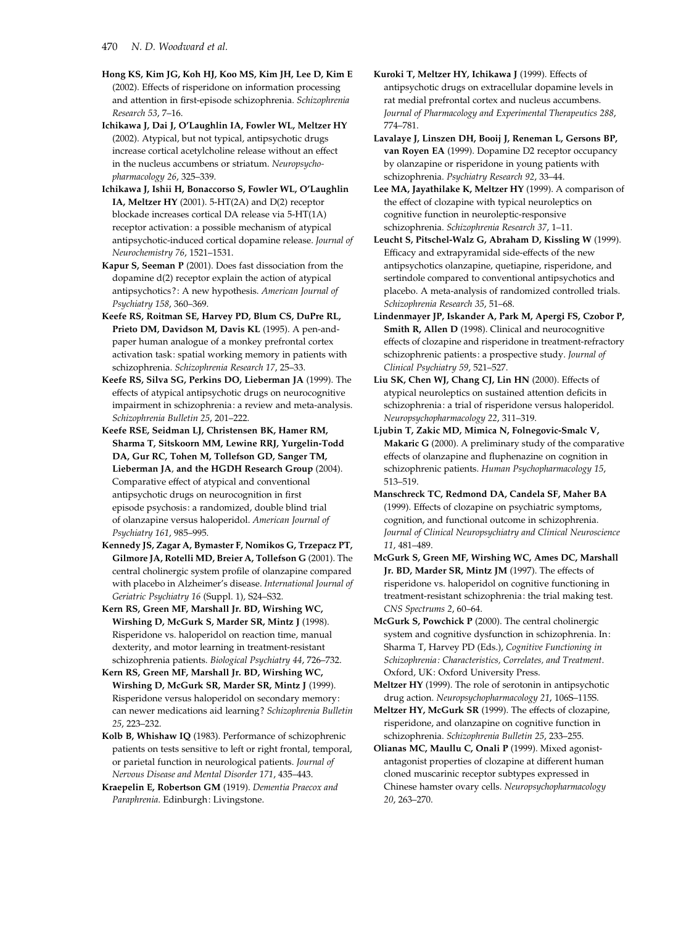Hong KS, Kim JG, Koh HJ, Koo MS, Kim JH, Lee D, Kim E (2002). Effects of risperidone on information processing and attention in first-episode schizophrenia. Schizophrenia Research 53, 7–16.

Ichikawa J, Dai J, O'Laughlin IA, Fowler WL, Meltzer HY (2002). Atypical, but not typical, antipsychotic drugs increase cortical acetylcholine release without an effect in the nucleus accumbens or striatum. Neuropsychopharmacology 26, 325–339.

Ichikawa J, Ishii H, Bonaccorso S, Fowler WL, O'Laughlin IA, Meltzer HY (2001). 5-HT(2A) and D(2) receptor blockade increases cortical DA release via 5-HT(1A) receptor activation: a possible mechanism of atypical antipsychotic-induced cortical dopamine release. Journal of Neurochemistry 76, 1521–1531.

Kapur S, Seeman P (2001). Does fast dissociation from the dopamine d(2) receptor explain the action of atypical antipsychotics?: A new hypothesis. American Journal of Psychiatry 158, 360–369.

Keefe RS, Roitman SE, Harvey PD, Blum CS, DuPre RL, Prieto DM, Davidson M, Davis KL (1995). A pen-andpaper human analogue of a monkey prefrontal cortex activation task: spatial working memory in patients with schizophrenia. Schizophrenia Research 17, 25–33.

Keefe RS, Silva SG, Perkins DO, Lieberman JA (1999). The effects of atypical antipsychotic drugs on neurocognitive impairment in schizophrenia: a review and meta-analysis. Schizophrenia Bulletin 25, 201–222.

Keefe RSE, Seidman LJ, Christensen BK, Hamer RM, Sharma T, Sitskoorn MM, Lewine RRJ, Yurgelin-Todd DA, Gur RC, Tohen M, Tollefson GD, Sanger TM, Lieberman JA, and the HGDH Research Group (2004). Comparative effect of atypical and conventional antipsychotic drugs on neurocognition in first episode psychosis: a randomized, double blind trial of olanzapine versus haloperidol. American Journal of Psychiatry 161, 985–995.

Kennedy JS, Zagar A, Bymaster F, Nomikos G, Trzepacz PT, Gilmore JA, Rotelli MD, Breier A, Tollefson G (2001). The central cholinergic system profile of olanzapine compared with placebo in Alzheimer's disease. International Journal of Geriatric Psychiatry 16 (Suppl. 1), S24–S32.

Kern RS, Green MF, Marshall Jr. BD, Wirshing WC, Wirshing D, McGurk S, Marder SR, Mintz J (1998). Risperidone vs. haloperidol on reaction time, manual dexterity, and motor learning in treatment-resistant schizophrenia patients. Biological Psychiatry 44, 726–732.

Kern RS, Green MF, Marshall Jr. BD, Wirshing WC, Wirshing D, McGurk SR, Marder SR, Mintz J (1999). Risperidone versus haloperidol on secondary memory: can newer medications aid learning? Schizophrenia Bulletin 25, 223–232.

Kolb B, Whishaw IQ (1983). Performance of schizophrenic patients on tests sensitive to left or right frontal, temporal, or parietal function in neurological patients. Journal of Nervous Disease and Mental Disorder 171, 435–443.

Kraepelin E, Robertson GM (1919). Dementia Praecox and Paraphrenia. Edinburgh: Livingstone.

Kuroki T, Meltzer HY, Ichikawa J (1999). Effects of antipsychotic drugs on extracellular dopamine levels in rat medial prefrontal cortex and nucleus accumbens. Journal of Pharmacology and Experimental Therapeutics 288, 774–781.

Lavalaye J, Linszen DH, Booij J, Reneman L, Gersons BP, van Royen EA (1999). Dopamine D2 receptor occupancy by olanzapine or risperidone in young patients with schizophrenia. Psychiatry Research 92, 33–44.

Lee MA, Jayathilake K, Meltzer HY (1999). A comparison of the effect of clozapine with typical neuroleptics on cognitive function in neuroleptic-responsive schizophrenia. Schizophrenia Research 37, 1–11.

Leucht S, Pitschel-Walz G, Abraham D, Kissling W (1999). Efficacy and extrapyramidal side-effects of the new antipsychotics olanzapine, quetiapine, risperidone, and sertindole compared to conventional antipsychotics and placebo. A meta-analysis of randomized controlled trials. Schizophrenia Research 35, 51–68.

Lindenmayer JP, Iskander A, Park M, Apergi FS, Czobor P, Smith R, Allen D (1998). Clinical and neurocognitive effects of clozapine and risperidone in treatment-refractory schizophrenic patients: a prospective study. Journal of Clinical Psychiatry 59, 521–527.

Liu SK, Chen WJ, Chang CJ, Lin HN (2000). Effects of atypical neuroleptics on sustained attention deficits in schizophrenia: a trial of risperidone versus haloperidol. Neuropsychopharmacology 22, 311–319.

Ljubin T, Zakic MD, Mimica N, Folnegovic-Smalc V, Makaric G (2000). A preliminary study of the comparative effects of olanzapine and fluphenazine on cognition in schizophrenic patients. Human Psychopharmacology 15, 513–519.

Manschreck TC, Redmond DA, Candela SF, Maher BA (1999). Effects of clozapine on psychiatric symptoms, cognition, and functional outcome in schizophrenia. Journal of Clinical Neuropsychiatry and Clinical Neuroscience 11, 481–489.

McGurk S, Green MF, Wirshing WC, Ames DC, Marshall Jr. BD, Marder SR, Mintz JM (1997). The effects of risperidone vs. haloperidol on cognitive functioning in treatment-resistant schizophrenia: the trial making test. CNS Spectrums 2, 60–64.

McGurk S, Powchick P (2000). The central cholinergic system and cognitive dysfunction in schizophrenia. In: Sharma T, Harvey PD (Eds.), Cognitive Functioning in Schizophrenia: Characteristics, Correlates, and Treatment. Oxford, UK: Oxford University Press.

Meltzer HY (1999). The role of serotonin in antipsychotic drug action. Neuropsychopharmacology 21, 106S–115S.

Meltzer HY, McGurk SR (1999). The effects of clozapine, risperidone, and olanzapine on cognitive function in schizophrenia. Schizophrenia Bulletin 25, 233–255.

Olianas MC, Maullu C, Onali P (1999). Mixed agonistantagonist properties of clozapine at different human cloned muscarinic receptor subtypes expressed in Chinese hamster ovary cells. Neuropsychopharmacology 20, 263–270.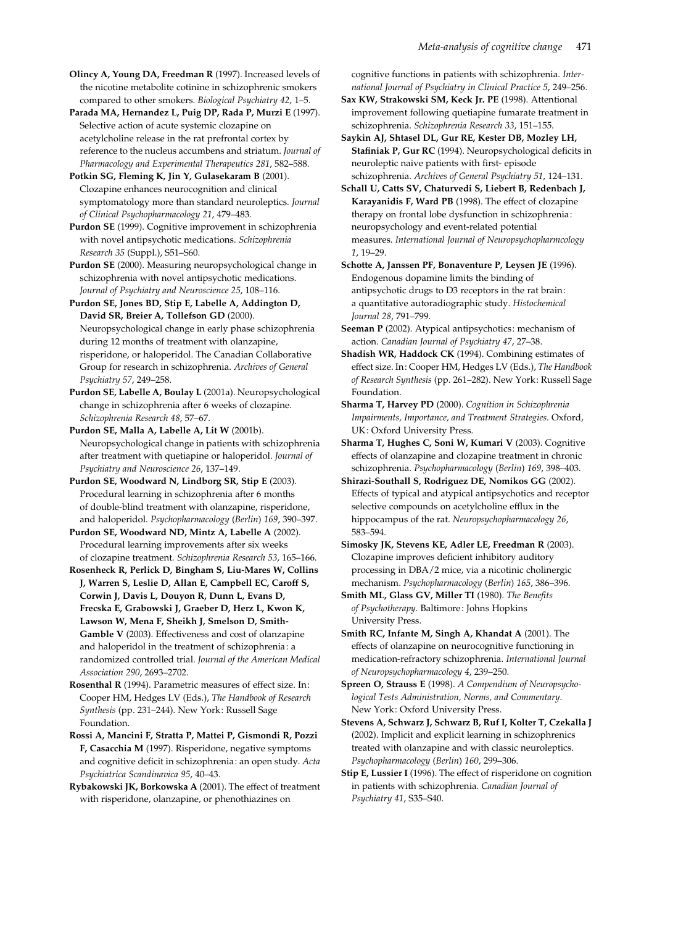Olincy A, Young DA, Freedman R (1997). Increased levels of the nicotine metabolite cotinine in schizophrenic smokers compared to other smokers. Biological Psychiatry 42, 1–5.

Parada MA, Hernandez L, Puig DP, Rada P, Murzi E (1997). Selective action of acute systemic clozapine on acetylcholine release in the rat prefrontal cortex by reference to the nucleus accumbens and striatum. Journal of Pharmacology and Experimental Therapeutics 281, 582–588.

Potkin SG, Fleming K, Jin Y, Gulasekaram B (2001). Clozapine enhances neurocognition and clinical symptomatology more than standard neuroleptics. Journal of Clinical Psychopharmacology 21, 479–483.

Purdon SE (1999). Cognitive improvement in schizophrenia with novel antipsychotic medications. Schizophrenia Research 35 (Suppl.), S51–S60.

Purdon SE (2000). Measuring neuropsychological change in schizophrenia with novel antipsychotic medications. Journal of Psychiatry and Neuroscience 25, 108–116.

Purdon SE, Jones BD, Stip E, Labelle A, Addington D, David SR, Breier A, Tollefson GD (2000).

Neuropsychological change in early phase schizophrenia during 12 months of treatment with olanzapine, risperidone, or haloperidol. The Canadian Collaborative Group for research in schizophrenia. Archives of General Psychiatry 57, 249–258.

Purdon SE, Labelle A, Boulay L (2001a). Neuropsychological change in schizophrenia after 6 weeks of clozapine. Schizophrenia Research 48, 57–67.

Purdon SE, Malla A, Labelle A, Lit W (2001b). Neuropsychological change in patients with schizophrenia after treatment with quetiapine or haloperidol. Journal of Psychiatry and Neuroscience 26, 137–149.

Purdon SE, Woodward N, Lindborg SR, Stip E (2003). Procedural learning in schizophrenia after 6 months of double-blind treatment with olanzapine, risperidone, and haloperidol. Psychopharmacology (Berlin) 169, 390–397.

Purdon SE, Woodward ND, Mintz A, Labelle A (2002). Procedural learning improvements after six weeks of clozapine treatment. Schizophrenia Research 53, 165–166.

Rosenheck R, Perlick D, Bingham S, Liu-Mares W, Collins J, Warren S, Leslie D, Allan E, Campbell EC, Caroff S, Corwin J, Davis L, Douyon R, Dunn L, Evans D, Frecska E, Grabowski J, Graeber D, Herz L, Kwon K, Lawson W, Mena F, Sheikh J, Smelson D, Smith-Gamble V (2003). Effectiveness and cost of olanzapine and haloperidol in the treatment of schizophrenia: a randomized controlled trial. Journal of the American Medical Association 290, 2693–2702.

Rosenthal R (1994). Parametric measures of effect size. In: Cooper HM, Hedges LV (Eds.), The Handbook of Research Synthesis (pp. 231–244). New York: Russell Sage Foundation.

Rossi A, Mancini F, Stratta P, Mattei P, Gismondi R, Pozzi F, Casacchia M (1997). Risperidone, negative symptoms and cognitive deficit in schizophrenia: an open study. Acta Psychiatrica Scandinavica 95, 40–43.

Rybakowski JK, Borkowska A (2001). The effect of treatment with risperidone, olanzapine, or phenothiazines on

cognitive functions in patients with schizophrenia. International Journal of Psychiatry in Clinical Practice 5, 249–256.

Sax KW, Strakowski SM, Keck Jr. PE (1998). Attentional improvement following quetiapine fumarate treatment in schizophrenia. Schizophrenia Research 33, 151–155.

Saykin AJ, Shtasel DL, Gur RE, Kester DB, Mozley LH, Stafiniak P, Gur RC (1994). Neuropsychological deficits in neuroleptic naive patients with first- episode schizophrenia. Archives of General Psychiatry 51, 124–131.

Schall U, Catts SV, Chaturvedi S, Liebert B, Redenbach J, Karayanidis F, Ward PB (1998). The effect of clozapine therapy on frontal lobe dysfunction in schizophrenia: neuropsychology and event-related potential measures. International Journal of Neuropsychopharmcology 1, 19–29.

Schotte A, Janssen PF, Bonaventure P, Leysen JE (1996). Endogenous dopamine limits the binding of antipsychotic drugs to D3 receptors in the rat brain: a quantitative autoradiographic study. Histochemical Journal 28, 791–799.

Seeman P (2002). Atypical antipsychotics: mechanism of action. Canadian Journal of Psychiatry 47, 27–38.

Shadish WR, Haddock CK (1994). Combining estimates of effect size. In: Cooper HM, Hedges LV (Eds.), The Handbook of Research Synthesis (pp. 261–282). New York: Russell Sage Foundation.

Sharma T, Harvey PD (2000). Cognition in Schizophrenia Impairments, Importance, and Treatment Strategies. Oxford, UK: Oxford University Press.

Sharma T, Hughes C, Soni W, Kumari V (2003). Cognitive effects of olanzapine and clozapine treatment in chronic schizophrenia. Psychopharmacology (Berlin) 169, 398–403.

Shirazi-Southall S, Rodriguez DE, Nomikos GG (2002). Effects of typical and atypical antipsychotics and receptor selective compounds on acetylcholine efflux in the hippocampus of the rat. Neuropsychopharmacology 26, 583–594.

Simosky JK, Stevens KE, Adler LE, Freedman R (2003). Clozapine improves deficient inhibitory auditory processing in DBA/2 mice, via a nicotinic cholinergic mechanism. Psychopharmacology (Berlin) 165, 386–396.

Smith ML, Glass GV, Miller TI (1980). The Benefits of Psychotherapy. Baltimore: Johns Hopkins University Press.

Smith RC, Infante M, Singh A, Khandat A (2001). The effects of olanzapine on neurocognitive functioning in medication-refractory schizophrenia. International Journal of Neuropsychopharmacology 4, 239–250.

Spreen O, Strauss E (1998). A Compendium of Neuropsychological Tests Administration, Norms, and Commentary. New York: Oxford University Press.

Stevens A, Schwarz J, Schwarz B, Ruf I, Kolter T, Czekalla J (2002). Implicit and explicit learning in schizophrenics treated with olanzapine and with classic neuroleptics. Psychopharmacology (Berlin) 160, 299–306.

Stip E, Lussier I (1996). The effect of risperidone on cognition in patients with schizophrenia. Canadian Journal of Psychiatry 41, S35–S40.